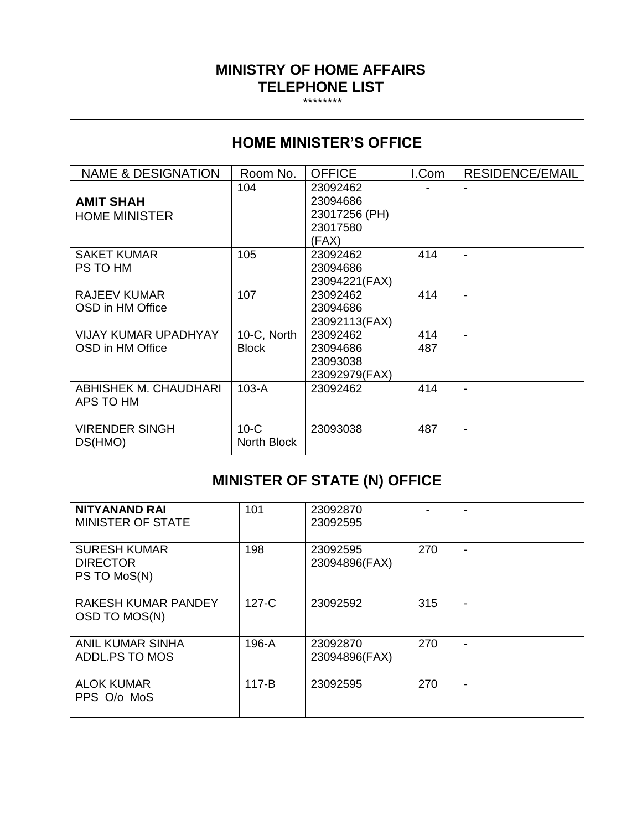#### **MINISTRY OF HOME AFFAIRS TELEPHONE LIST**

\*\*\*\*\*\*\*\*

| <b>HOME MINISTER'S OFFICE</b>                          |                              |                                                            |            |                          |  |  |  |
|--------------------------------------------------------|------------------------------|------------------------------------------------------------|------------|--------------------------|--|--|--|
| <b>NAME &amp; DESIGNATION</b>                          | Room No.                     | <b>OFFICE</b>                                              | I.Com      | <b>RESIDENCE/EMAIL</b>   |  |  |  |
| <b>AMIT SHAH</b><br><b>HOME MINISTER</b>               | 104                          | 23092462<br>23094686<br>23017256 (PH)<br>23017580<br>(FAX) |            |                          |  |  |  |
| <b>SAKET KUMAR</b><br>PS TO HM                         | 105                          | 23092462<br>23094686<br>23094221(FAX)                      | 414        | $\overline{\phantom{a}}$ |  |  |  |
| <b>RAJEEV KUMAR</b><br>OSD in HM Office                | 107                          | 23092462<br>23094686<br>23092113(FAX)                      | 414        | $\overline{a}$           |  |  |  |
| <b>VIJAY KUMAR UPADHYAY</b><br>OSD in HM Office        | 10-C, North<br><b>Block</b>  | 23092462<br>23094686<br>23093038<br>23092979(FAX)          | 414<br>487 | $\blacksquare$           |  |  |  |
| ABHISHEK M. CHAUDHARI<br>APS TO HM                     | $103-A$                      | 23092462                                                   | 414        | $\blacksquare$           |  |  |  |
| <b>VIRENDER SINGH</b><br>DS(HMO)                       | $10-C$<br><b>North Block</b> | 23093038                                                   | 487        | $\overline{a}$           |  |  |  |
| <b>MINISTER OF STATE (N) OFFICE</b>                    |                              |                                                            |            |                          |  |  |  |
| <b>NITYANAND RAI</b><br><b>MINISTER OF STATE</b>       | 101                          | 23092870<br>23092595                                       |            |                          |  |  |  |
| <b>SURESH KUMAR</b><br><b>DIRECTOR</b><br>PS TO MoS(N) | 198                          | 23092595<br>23094896(FAX)                                  | 270        | $\overline{\phantom{a}}$ |  |  |  |

127-C 23092592 315 -

23094896(FAX)

117-B 23092595 270 -

 $270$  -

196-A 23092870

RAKESH KUMAR PANDEY

OSD TO MOS(N)

ALOK KUMAR PPS O/o MoS

ANIL KUMAR SINHA ADDL.PS TO MOS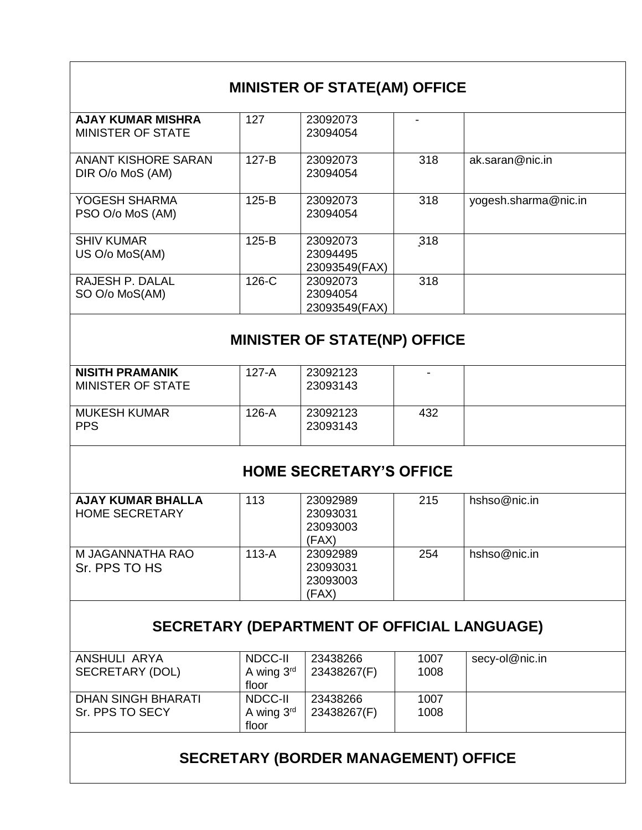| AJAY KUMAR MISHRA                       | 127     | 23092073                              |     |                      |
|-----------------------------------------|---------|---------------------------------------|-----|----------------------|
| MINISTER OF STATE                       |         | 23094054                              |     |                      |
| ANANT KISHORE SARAN<br>DIR O/o MoS (AM) | $127-B$ | 23092073<br>23094054                  | 318 | ak.saran@nic.in      |
| YOGESH SHARMA<br>PSO O/o MoS (AM)       | 125-B   | 23092073<br>23094054                  | 318 | yogesh.sharma@nic.in |
| <b>SHIV KUMAR</b><br>US O/o MoS(AM)     | 125-B   | 23092073<br>23094495<br>23093549(FAX) | 318 |                      |
| RAJESH P. DALAL<br>SO O/o MoS(AM)       | 126-C   | 23092073<br>23094054<br>23093549(FAX) | 318 |                      |

| <b>NISITH PRAMANIK</b><br>MINISTER OF STATE | 127-A | 23092123<br>23093143 | -   |  |
|---------------------------------------------|-------|----------------------|-----|--|
| MUKESH KUMAR<br><b>PPS</b>                  | 126-A | 23092123<br>23093143 | 432 |  |

# **HOME SECRETARY'S OFFICE**

| <b>AJAY KUMAR BHALLA</b><br><b>HOME SECRETARY</b> | 113   | 23092989<br>23093031<br>23093003<br>(FAX) | 215 | hshso@nic.in |
|---------------------------------------------------|-------|-------------------------------------------|-----|--------------|
| M JAGANNATHA RAO<br>Sr. PPS TO HS                 | 113-A | 23092989<br>23093031<br>23093003<br>(FAX) | 254 | hshso@nic.in |

# **SECRETARY (DEPARTMENT OF OFFICIAL LANGUAGE)**

| NDCC-II                | 23438266    | 1007 | secy-ol@nic.in |
|------------------------|-------------|------|----------------|
| A wing $3rd$           | 23438267(F) | 1008 |                |
| floor                  |             |      |                |
| NDCC-II                | 23438266    | 1007 |                |
| A wing $3^{\text{rd}}$ | 23438267(F) | 1008 |                |
| floor                  |             |      |                |
|                        |             |      |                |
|                        |             |      |                |

# **SECRETARY (BORDER MANAGEMENT) OFFICE**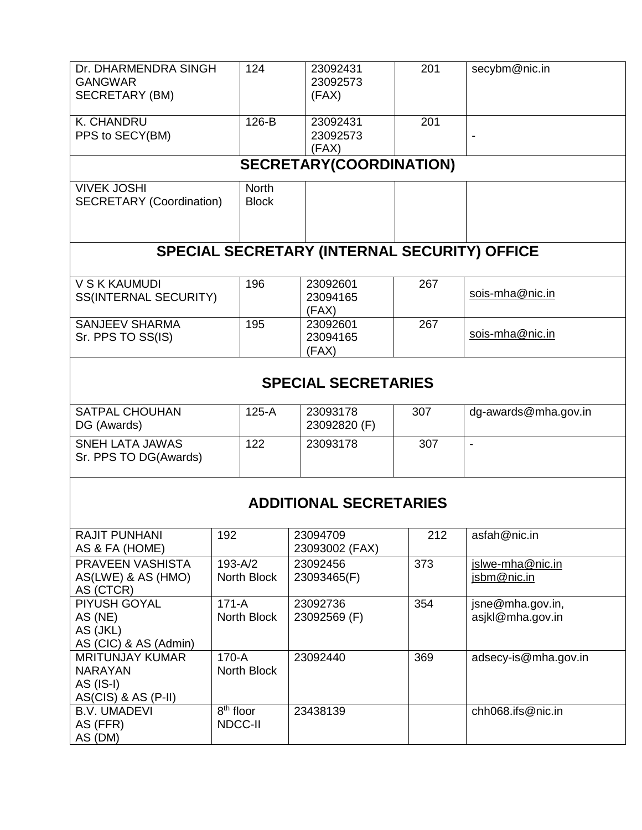| Dr. DHARMENDRA SINGH                    |                       | 124          | 23092431                                     | 201 | secybm@nic.in                        |
|-----------------------------------------|-----------------------|--------------|----------------------------------------------|-----|--------------------------------------|
| <b>GANGWAR</b><br><b>SECRETARY (BM)</b> |                       |              | 23092573<br>(FAX)                            |     |                                      |
|                                         |                       |              |                                              |     |                                      |
| K. CHANDRU                              |                       | 126-B        | 23092431                                     | 201 |                                      |
| PPS to SECY(BM)                         |                       |              | 23092573                                     |     |                                      |
|                                         |                       |              | (FAX)                                        |     |                                      |
|                                         |                       |              | <b>SECRETARY(COORDINATION)</b>               |     |                                      |
| <b>VIVEK JOSHI</b>                      |                       | <b>North</b> |                                              |     |                                      |
| <b>SECRETARY (Coordination)</b>         |                       | <b>Block</b> |                                              |     |                                      |
|                                         |                       |              |                                              |     |                                      |
|                                         |                       |              |                                              |     |                                      |
|                                         |                       |              | SPECIAL SECRETARY (INTERNAL SECURITY) OFFICE |     |                                      |
| <b>V S K KAUMUDI</b>                    |                       | 196          | 23092601                                     | 267 |                                      |
| <b>SS(INTERNAL SECURITY)</b>            |                       |              | 23094165                                     |     | sois-mha@nic.in                      |
|                                         |                       |              | (FAX)                                        |     |                                      |
| <b>SANJEEV SHARMA</b>                   |                       | 195          | 23092601                                     | 267 | sois-mha@nic.in                      |
| Sr. PPS TO SS(IS)                       |                       |              | 23094165                                     |     |                                      |
|                                         |                       |              | (FAX)                                        |     |                                      |
|                                         |                       |              |                                              |     |                                      |
|                                         |                       |              | <b>SPECIAL SECRETARIES</b>                   |     |                                      |
| <b>SATPAL CHOUHAN</b>                   |                       | $125-A$      | 23093178                                     | 307 | dg-awards@mha.gov.in                 |
| DG (Awards)                             |                       |              | 23092820 (F)                                 |     |                                      |
| <b>SNEH LATA JAWAS</b>                  |                       | 122          | 23093178                                     | 307 | $\overline{\phantom{a}}$             |
| Sr. PPS TO DG(Awards)                   |                       |              |                                              |     |                                      |
|                                         |                       |              |                                              |     |                                      |
|                                         |                       |              |                                              |     |                                      |
|                                         |                       |              | <b>ADDITIONAL SECRETARIES</b>                |     |                                      |
|                                         |                       |              |                                              |     |                                      |
| RAJIT PUNHANI                           | 192                   |              | 23094709                                     | 212 | asfah@nic.in                         |
| AS & FA (HOME)                          |                       |              | 23093002 (FAX)                               |     |                                      |
| PRAVEEN VASHISTA                        | $193 - A/2$           |              | 23092456                                     | 373 | islwe-mha@nic.in                     |
| AS(LWE) & AS (HMO)                      |                       | North Block  | 23093465(F)                                  |     | jsbm@nic.in                          |
| AS (CTCR)                               |                       |              |                                              |     |                                      |
| PIYUSH GOYAL                            | $171-A$               | North Block  | 23092736                                     | 354 | jsne@mha.gov.in,<br>asjkl@mha.gov.in |
| AS (NE)<br>AS (JKL)                     |                       |              | 23092569 (F)                                 |     |                                      |
| AS (CIC) & AS (Admin)                   |                       |              |                                              |     |                                      |
| <b>MRITUNJAY KUMAR</b>                  | 170-A                 |              | 23092440                                     | 369 | adsecy-is@mha.gov.in                 |
| <b>NARAYAN</b>                          |                       | North Block  |                                              |     |                                      |
| AS (IS-I)                               |                       |              |                                              |     |                                      |
| $AS(CIS)$ & $AS(P-II)$                  |                       |              |                                              |     |                                      |
| <b>B.V. UMADEVI</b>                     | 8 <sup>th</sup> floor |              | 23438139                                     |     | chh068.ifs@nic.in                    |
| AS (FFR)                                | <b>NDCC-II</b>        |              |                                              |     |                                      |
| AS (DM)                                 |                       |              |                                              |     |                                      |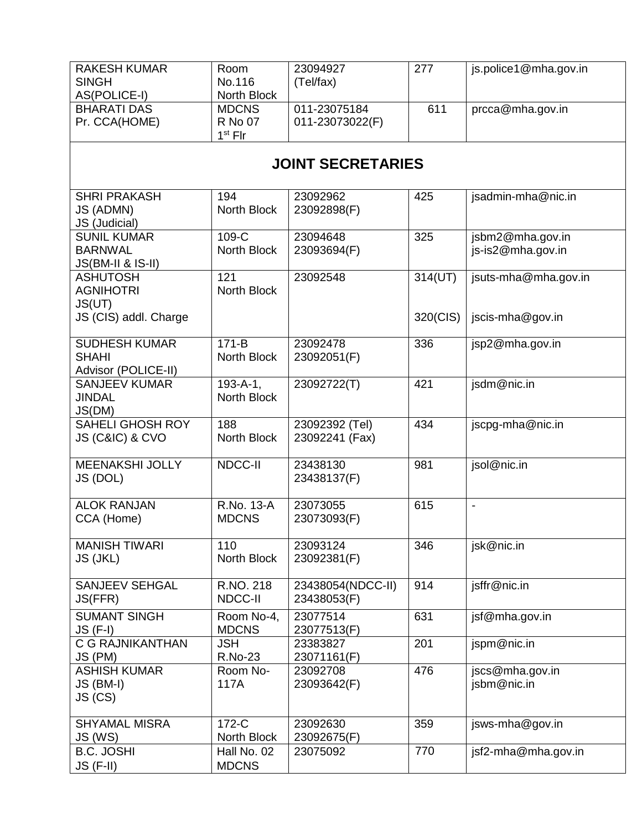| <b>RAKESH KUMAR</b>                         | Room                       | 23094927                | 277      | js.police1@mha.gov.in    |  |  |  |  |
|---------------------------------------------|----------------------------|-------------------------|----------|--------------------------|--|--|--|--|
| <b>SINGH</b><br>AS(POLICE-I)                | No.116<br>North Block      | (Tel/fax)               |          |                          |  |  |  |  |
| <b>BHARATI DAS</b>                          | <b>MDCNS</b>               | 011-23075184            | 611      | prcca@mha.gov.in         |  |  |  |  |
| Pr. CCA(HOME)                               | <b>R</b> No 07             | 011-23073022(F)         |          |                          |  |  |  |  |
|                                             | $1st$ Flr                  |                         |          |                          |  |  |  |  |
|                                             | <b>JOINT SECRETARIES</b>   |                         |          |                          |  |  |  |  |
| <b>SHRI PRAKASH</b>                         | 194                        | 23092962                | 425      | jsadmin-mha@nic.in       |  |  |  |  |
| JS (ADMN)                                   | North Block                | 23092898(F)             |          |                          |  |  |  |  |
| JS (Judicial)<br><b>SUNIL KUMAR</b>         | 109-C                      | 23094648                | 325      | jsbm2@mha.gov.in         |  |  |  |  |
| <b>BARNWAL</b>                              | North Block                | 23093694(F)             |          | js-is2@mha.gov.in        |  |  |  |  |
| <b>JS(BM-II &amp; IS-II)</b>                |                            |                         |          |                          |  |  |  |  |
| <b>ASHUTOSH</b>                             | 121                        | 23092548                | 314(UT)  | jsuts-mha@mha.gov.in     |  |  |  |  |
| <b>AGNIHOTRI</b>                            | North Block                |                         |          |                          |  |  |  |  |
| JS(UT)<br>JS (CIS) addl. Charge             |                            |                         | 320(CIS) | jscis-mha@gov.in         |  |  |  |  |
|                                             |                            |                         |          |                          |  |  |  |  |
| <b>SUDHESH KUMAR</b>                        | $171-B$                    | 23092478                | 336      | jsp2@mha.gov.in          |  |  |  |  |
| <b>SHAHI</b>                                | <b>North Block</b>         | 23092051(F)             |          |                          |  |  |  |  |
| Advisor (POLICE-II)<br><b>SANJEEV KUMAR</b> | $193 - A - 1$ ,            | 23092722(T)             | 421      | jsdm@nic.in              |  |  |  |  |
| <b>JINDAL</b>                               | North Block                |                         |          |                          |  |  |  |  |
| JS(DM)                                      |                            |                         |          |                          |  |  |  |  |
| <b>SAHELI GHOSH ROY</b>                     | 188                        | 23092392 (Tel)          | 434      | jscpg-mha@nic.in         |  |  |  |  |
| JS (C&IC) & CVO                             | North Block                | 23092241 (Fax)          |          |                          |  |  |  |  |
| <b>MEENAKSHI JOLLY</b>                      | <b>NDCC-II</b>             | 23438130                | 981      | jsol@nic.in              |  |  |  |  |
| JS (DOL)                                    |                            | 23438137(F)             |          |                          |  |  |  |  |
|                                             |                            |                         |          |                          |  |  |  |  |
| <b>ALOK RANJAN</b><br>CCA (Home)            | R.No. 13-A<br><b>MDCNS</b> | 23073055<br>23073093(F) | 615      | $\overline{\phantom{0}}$ |  |  |  |  |
|                                             |                            |                         |          |                          |  |  |  |  |
| <b>MANISH TIWARI</b>                        | 110                        | 23093124                | 346      | jsk@nic.in               |  |  |  |  |
| JS (JKL)                                    | North Block                | 23092381(F)             |          |                          |  |  |  |  |
| <b>SANJEEV SEHGAL</b>                       | R.NO. 218                  | 23438054(NDCC-II)       | 914      | jsffr@nic.in             |  |  |  |  |
| JS(FFR)                                     | NDCC-II                    | 23438053(F)             |          |                          |  |  |  |  |
| <b>SUMANT SINGH</b>                         | Room No-4,                 | 23077514                | 631      | jsf@mha.gov.in           |  |  |  |  |
| <b>JS (F-I)</b>                             | <b>MDCNS</b>               | 23077513(F)             |          |                          |  |  |  |  |
| <b>C G RAJNIKANTHAN</b>                     | <b>JSH</b>                 | 23383827                | 201      | jspm@nic.in              |  |  |  |  |
| JS (PM)<br><b>ASHISH KUMAR</b>              | <b>R.No-23</b><br>Room No- | 23071161(F)<br>23092708 | 476      | jscs@mha.gov.in          |  |  |  |  |
| JS (BM-I)                                   | 117A                       | 23093642(F)             |          | jsbm@nic.in              |  |  |  |  |
| JS (CS)                                     |                            |                         |          |                          |  |  |  |  |
|                                             |                            |                         |          |                          |  |  |  |  |
| <b>SHYAMAL MISRA</b>                        | 172-C                      | 23092630                | 359      | jsws-mha@gov.in          |  |  |  |  |
| JS (WS)<br><b>B.C. JOSHI</b>                | North Block<br>Hall No. 02 | 23092675(F)<br>23075092 | 770      | jsf2-mha@mha.gov.in      |  |  |  |  |
| $JS$ (F-II)                                 | <b>MDCNS</b>               |                         |          |                          |  |  |  |  |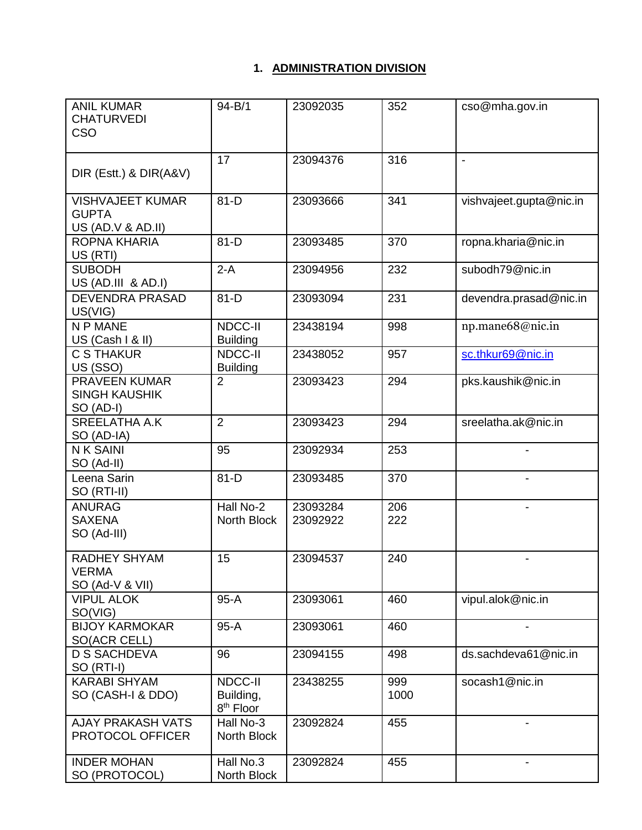### **1. ADMINISTRATION DIVISION**

| <b>ANIL KUMAR</b><br><b>CHATURVEDI</b><br><b>CSO</b>         | $94 - B/1$                                    | 23092035             | 352         | cso@mha.gov.in           |
|--------------------------------------------------------------|-----------------------------------------------|----------------------|-------------|--------------------------|
| DIR (Estt.) & DIR(A&V)                                       | 17                                            | 23094376             | 316         | $\overline{\phantom{a}}$ |
| <b>VISHVAJEET KUMAR</b><br><b>GUPTA</b><br>US (AD.V & AD.II) | $81-D$                                        | 23093666             | 341         | vishvajeet.gupta@nic.in  |
| ROPNA KHARIA<br>US (RTI)                                     | $81-D$                                        | 23093485             | 370         | ropna.kharia@nic.in      |
| <b>SUBODH</b><br>US (AD.III & AD.I)                          | $2-A$                                         | 23094956             | 232         | subodh79@nic.in          |
| <b>DEVENDRA PRASAD</b><br>US(VIG)                            | $81-D$                                        | 23093094             | 231         | devendra.prasad@nic.in   |
| N P MANE<br>US (Cash I & II)                                 | NDCC-II<br><b>Building</b>                    | 23438194             | 998         | np.mane68@nic.in         |
| <b>C S THAKUR</b><br>US (SSO)                                | NDCC-II<br><b>Building</b>                    | 23438052             | 957         | sc.thkur69@nic.in        |
| <b>PRAVEEN KUMAR</b><br><b>SINGH KAUSHIK</b><br>SO (AD-I)    | $\overline{2}$                                | 23093423             | 294         | pks.kaushik@nic.in       |
| <b>SREELATHA A.K</b><br>SO (AD-IA)                           | $\overline{2}$                                | 23093423             | 294         | sreelatha.ak@nic.in      |
| <b>NK SAINI</b><br>SO (Ad-II)                                | 95                                            | 23092934             | 253         |                          |
| Leena Sarin<br>SO (RTI-II)                                   | $81-D$                                        | 23093485             | 370         |                          |
| <b>ANURAG</b><br><b>SAXENA</b><br>SO (Ad-III)                | Hall No-2<br>North Block                      | 23093284<br>23092922 | 206<br>222  |                          |
| <b>RADHEY SHYAM</b><br><b>VERMA</b><br>SO (Ad-V & VII)       | 15                                            | 23094537             | 240         | $\overline{\phantom{a}}$ |
| <b>VIPUL ALOK</b><br>SO(VIG)                                 | $95-A$                                        | 23093061             | 460         | vipul.alok@nic.in        |
| <b>BIJOY KARMOKAR</b><br><b>SO(ACR CELL)</b>                 | $95-A$                                        | 23093061             | 460         |                          |
| <b>D S SACHDEVA</b><br>SO (RTI-I)                            | 96                                            | 23094155             | 498         | ds.sachdeva61@nic.in     |
| <b>KARABI SHYAM</b><br>SO (CASH-I & DDO)                     | NDCC-II<br>Building,<br>8 <sup>th</sup> Floor | 23438255             | 999<br>1000 | socash1@nic.in           |
| <b>AJAY PRAKASH VATS</b><br>PROTOCOL OFFICER                 | Hall No-3<br>North Block                      | 23092824             | 455         | $\overline{\phantom{a}}$ |
| <b>INDER MOHAN</b><br>SO (PROTOCOL)                          | Hall No.3<br>North Block                      | 23092824             | 455         |                          |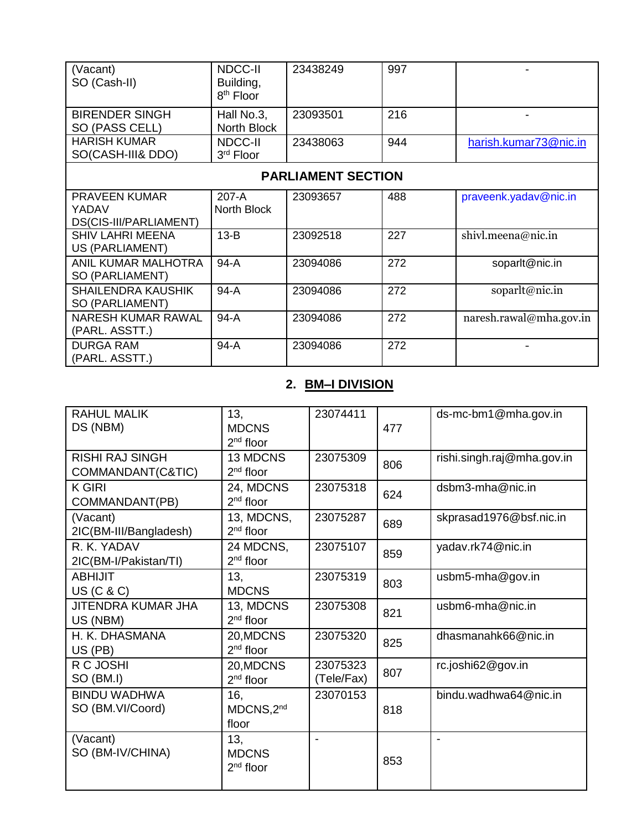| (Vacant)<br>SO (Cash-II)                                | NDCC-II<br>Building,<br>8 <sup>th</sup> Floor | 23438249 | 997 |                         |  |  |
|---------------------------------------------------------|-----------------------------------------------|----------|-----|-------------------------|--|--|
| <b>BIRENDER SINGH</b><br>SO (PASS CELL)                 | Hall No.3,<br>North Block                     | 23093501 | 216 |                         |  |  |
| <b>HARISH KUMAR</b><br>SO(CASH-III& DDO)                | NDCC-II<br>3rd Floor                          | 23438063 | 944 | harish.kumar73@nic.in   |  |  |
| <b>PARLIAMENT SECTION</b>                               |                                               |          |     |                         |  |  |
| <b>PRAVEEN KUMAR</b><br>YADAV<br>DS(CIS-III/PARLIAMENT) | 207-A<br>North Block                          | 23093657 | 488 | praveenk.yadav@nic.in   |  |  |
| <b>SHIV LAHRI MEENA</b><br>US (PARLIAMENT)              | $13-B$                                        | 23092518 | 227 | shivl.meena@nic.in      |  |  |
| <b>ANIL KUMAR MALHOTRA</b><br>SO (PARLIAMENT)           | 94-A                                          | 23094086 | 272 | soparlt@nic.in          |  |  |
| <b>SHAILENDRA KAUSHIK</b><br>SO (PARLIAMENT)            | $94-A$                                        | 23094086 | 272 | soparlt@nic.in          |  |  |
| NARESH KUMAR RAWAL<br>(PARL. ASSTT.)                    | 94-A                                          | 23094086 | 272 | naresh.rawal@mha.gov.in |  |  |
| DURGA RAM<br>(PARL. ASSTT.)                             | 94-A                                          | 23094086 | 272 |                         |  |  |

# **2. BM–I DIVISION**

| <b>RAHUL MALIK</b><br>DS (NBM)              | 13,<br><b>MDCNS</b><br>$2nd$ floor     | 23074411               | 477 | ds-mc-bm1@mha.gov.in       |
|---------------------------------------------|----------------------------------------|------------------------|-----|----------------------------|
| <b>RISHI RAJ SINGH</b><br>COMMANDANT(C&TIC) | 13 MDCNS<br>$2nd$ floor                | 23075309               | 806 | rishi.singh.raj@mha.gov.in |
| K GIRI<br>COMMANDANT(PB)                    | 24, MDCNS<br>$2nd$ floor               | 23075318               | 624 | dsbm3-mha@nic.in           |
| (Vacant)<br>2IC(BM-III/Bangladesh)          | 13, MDCNS,<br>$2nd$ floor              | 23075287               | 689 | skprasad1976@bsf.nic.in    |
| R. K. YADAV<br>2IC(BM-I/Pakistan/TI)        | 24 MDCNS,<br>$2nd$ floor               | 23075107               | 859 | yadav.rk74@nic.in          |
| <b>ABHIJIT</b><br><b>US (C &amp; C)</b>     | 13.<br><b>MDCNS</b>                    | 23075319               | 803 | usbm5-mha@gov.in           |
| <b>JITENDRA KUMAR JHA</b><br>US (NBM)       | 13, MDCNS<br>$2nd$ floor               | 23075308               | 821 | usbm6-mha@nic.in           |
| H. K. DHASMANA<br>US (PB)                   | 20, MDCNS<br>$2nd$ floor               | 23075320               | 825 | dhasmanahk66@nic.in        |
| R C JOSHI<br>SO (BM.I)                      | 20, MDCNS<br>2 <sup>nd</sup> floor     | 23075323<br>(Tele/Fax) | 807 | rc.joshi62@gov.in          |
| <b>BINDU WADHWA</b><br>SO (BM.VI/Coord)     | 16.<br>MDCNS, 2 <sup>nd</sup><br>floor | 23070153               | 818 | bindu.wadhwa64@nic.in      |
| (Vacant)<br>SO (BM-IV/CHINA)                | 13.<br><b>MDCNS</b><br>$2nd$ floor     |                        | 853 | $\blacksquare$             |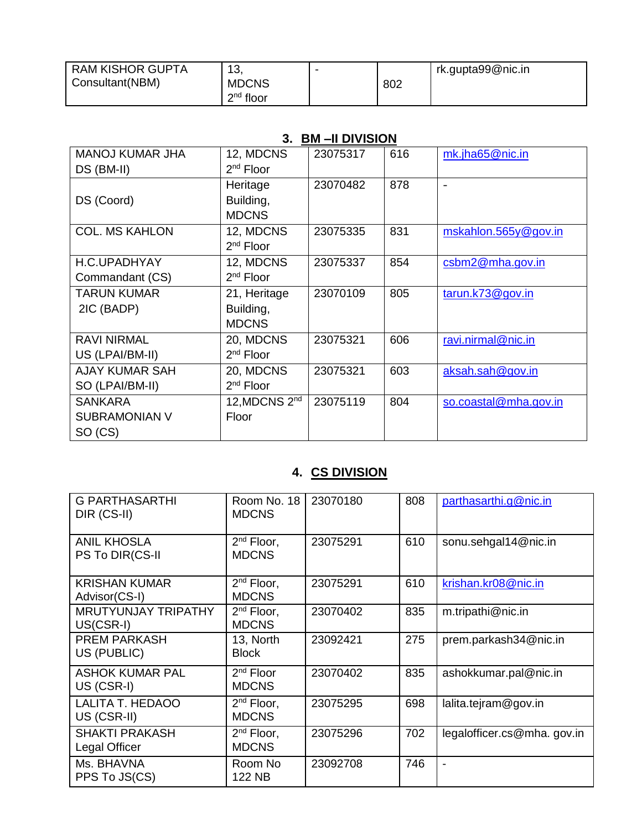| I RAM KISHOR GUPTA<br>Consultant(NBM) | 10<br>່∪<br><b>MDCNS</b> | 802 | rk.gupta99@nic.in |
|---------------------------------------|--------------------------|-----|-------------------|
|                                       | $2nd$ floor              |     |                   |

## **3. BM –II DIVISION**

| <b>MANOJ KUMAR JHA</b> | 12, MDCNS                 | 23075317 | 616 | mk.jha65@nic.in       |
|------------------------|---------------------------|----------|-----|-----------------------|
| DS (BM-II)             | $2nd$ Floor               |          |     |                       |
|                        | Heritage                  | 23070482 | 878 | $\overline{a}$        |
| DS (Coord)             | Building,                 |          |     |                       |
|                        | <b>MDCNS</b>              |          |     |                       |
| <b>COL. MS KAHLON</b>  | 12, MDCNS                 | 23075335 | 831 | mskahlon.565y@gov.in  |
|                        | 2 <sup>nd</sup> Floor     |          |     |                       |
| H.C.UPADHYAY           | 12, MDCNS                 | 23075337 | 854 | csbm2@mha.gov.in      |
| Commandant (CS)        | $2nd$ Floor               |          |     |                       |
| <b>TARUN KUMAR</b>     | 21, Heritage              | 23070109 | 805 | tarun.k73@gov.in      |
| 2IC (BADP)             | Building,                 |          |     |                       |
|                        | <b>MDCNS</b>              |          |     |                       |
| <b>RAVI NIRMAL</b>     | 20, MDCNS                 | 23075321 | 606 | ravi.nirmal@nic.in    |
| US (LPAI/BM-II)        | $2nd$ Floor               |          |     |                       |
| <b>AJAY KUMAR SAH</b>  | 20, MDCNS                 | 23075321 | 603 | aksah.sah@gov.in      |
| SO (LPAI/BM-II)        | $2nd$ Floor               |          |     |                       |
| <b>SANKARA</b>         | 12, MDCNS 2 <sup>nd</sup> | 23075119 | 804 | so.coastal@mha.gov.in |
| <b>SUBRAMONIAN V</b>   | Floor                     |          |     |                       |
| SO (CS)                |                           |          |     |                       |

## **4. CS DIVISION**

| <b>G PARTHASARTHI</b><br>DIR (CS-II)    | Room No. 18<br><b>MDCNS</b>     | 23070180 | 808 | parthasarthi.g@nic.in      |
|-----------------------------------------|---------------------------------|----------|-----|----------------------------|
| <b>ANIL KHOSLA</b><br>PS To DIR(CS-II   | $2nd$ Floor,<br><b>MDCNS</b>    | 23075291 | 610 | sonu.sehgal14@nic.in       |
| <b>KRISHAN KUMAR</b><br>Advisor(CS-I)   | $2nd$ Floor,<br><b>MDCNS</b>    | 23075291 | 610 | krishan.kr08@nic.in        |
| <b>MRUTYUNJAY TRIPATHY</b><br>US(CSR-I) | $2^{nd}$ Floor,<br><b>MDCNS</b> | 23070402 | 835 | m.tripathi@nic.in          |
| <b>PREM PARKASH</b><br>US (PUBLIC)      | 13, North<br><b>Block</b>       | 23092421 | 275 | prem.parkash34@nic.in      |
| <b>ASHOK KUMAR PAL</b><br>US (CSR-I)    | $2nd$ Floor<br><b>MDCNS</b>     | 23070402 | 835 | ashokkumar.pal@nic.in      |
| <b>LALITA T. HEDAOO</b><br>US (CSR-II)  | $2nd$ Floor,<br><b>MDCNS</b>    | 23075295 | 698 | lalita.tejram@gov.in       |
| <b>SHAKTI PRAKASH</b><br>Legal Officer  | $2^{nd}$ Floor,<br><b>MDCNS</b> | 23075296 | 702 | legalofficer.cs@mha.gov.in |
| Ms. BHAVNA<br>PPS To JS(CS)             | Room No<br>122 NB               | 23092708 | 746 | $\blacksquare$             |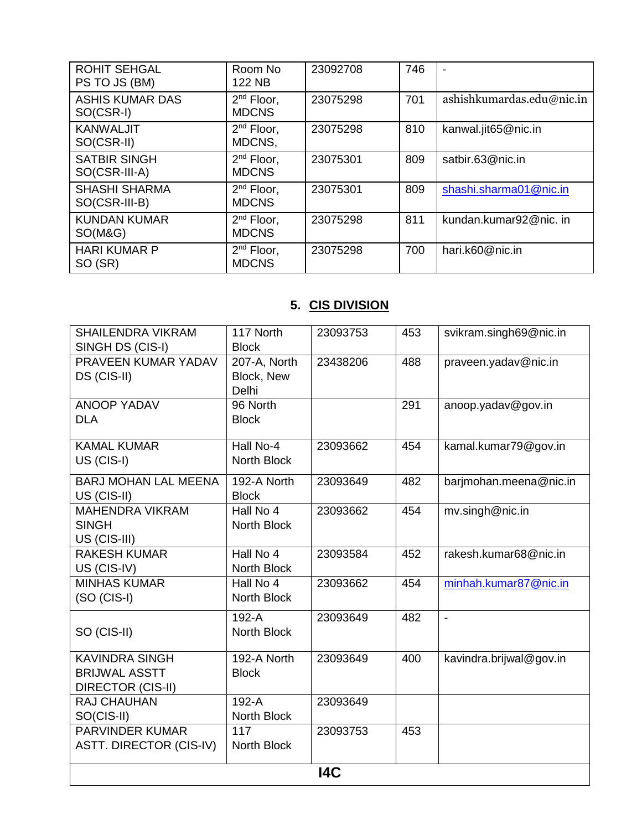| <b>ROHIT SEHGAL</b><br>PS TO JS (BM)  | Room No<br>122 NB                      | 23092708 | 746 |                           |
|---------------------------------------|----------------------------------------|----------|-----|---------------------------|
| <b>ASHIS KUMAR DAS</b><br>SO(CSR-I)   | 2 <sup>nd</sup> Floor,<br><b>MDCNS</b> | 23075298 | 701 | ashishkumardas.edu@nic.in |
| <b>KANWALJIT</b><br>SO(CSR-II)        | $2nd$ Floor,<br>MDCNS,                 | 23075298 | 810 | kanwal.jit65@nic.in       |
| <b>SATBIR SINGH</b><br>SO(CSR-III-A)  | $2nd$ Floor,<br><b>MDCNS</b>           | 23075301 | 809 | satbir.63@nic.in          |
| <b>SHASHI SHARMA</b><br>SO(CSR-III-B) | $2nd$ Floor,<br><b>MDCNS</b>           | 23075301 | 809 | shashi.sharma01@nic.in    |
| <b>KUNDAN KUMAR</b><br>SO(M&G)        | $2^{nd}$ Floor,<br><b>MDCNS</b>        | 23075298 | 811 | kundan.kumar92@nic. in    |
| <b>HARI KUMAR P</b><br>SO (SR)        | $2^{nd}$ Floor,<br><b>MDCNS</b>        | 23075298 | 700 | hari.k60@nic.in           |

## **5. CIS DIVISION**

| <b>SHAILENDRA VIKRAM</b><br>SINGH DS (CIS-I) | 117 North<br><b>Block</b> | 23093753 | 453 | svikram.singh69@nic.in  |  |
|----------------------------------------------|---------------------------|----------|-----|-------------------------|--|
| PRAVEEN KUMAR YADAV                          | 207-A, North              | 23438206 | 488 | praveen.yadav@nic.in    |  |
| DS (CIS-II)                                  | Block, New                |          |     |                         |  |
|                                              | Delhi                     |          |     |                         |  |
| <b>ANOOP YADAV</b>                           | 96 North                  |          | 291 | anoop.yadav@gov.in      |  |
| <b>DLA</b>                                   | <b>Block</b>              |          |     |                         |  |
| <b>KAMAL KUMAR</b>                           | Hall No-4                 | 23093662 | 454 | kamal.kumar79@gov.in    |  |
| US (CIS-I)                                   | <b>North Block</b>        |          |     |                         |  |
| <b>BARJ MOHAN LAL MEENA</b>                  | 192-A North               | 23093649 | 482 | barjmohan.meena@nic.in  |  |
| US (CIS-II)                                  | <b>Block</b>              |          |     |                         |  |
| <b>MAHENDRA VIKRAM</b>                       | Hall No 4                 | 23093662 | 454 | mv.singh@nic.in         |  |
| <b>SINGH</b>                                 | North Block               |          |     |                         |  |
| US (CIS-III)                                 | Hall No 4                 |          |     |                         |  |
| <b>RAKESH KUMAR</b><br>US (CIS-IV)           | North Block               | 23093584 | 452 | rakesh.kumar68@nic.in   |  |
| <b>MINHAS KUMAR</b>                          | Hall No 4                 | 23093662 | 454 | minhah.kumar87@nic.in   |  |
| $(SO (CIS-I))$                               | North Block               |          |     |                         |  |
|                                              |                           |          |     |                         |  |
| SO (CIS-II)                                  | 192-A<br>North Block      | 23093649 | 482 | $\blacksquare$          |  |
|                                              |                           |          |     |                         |  |
| <b>KAVINDRA SINGH</b>                        | 192-A North               | 23093649 | 400 | kavindra.brijwal@gov.in |  |
| <b>BRIJWAL ASSTT</b>                         | <b>Block</b>              |          |     |                         |  |
| <b>DIRECTOR (CIS-II)</b>                     |                           |          |     |                         |  |
| RAJ CHAUHAN                                  | 192-A                     | 23093649 |     |                         |  |
| SO(CIS-II)                                   | North Block               |          |     |                         |  |
| <b>PARVINDER KUMAR</b>                       | 117                       | 23093753 | 453 |                         |  |
| <b>ASTT. DIRECTOR (CIS-IV)</b>               | North Block               |          |     |                         |  |
| I4C                                          |                           |          |     |                         |  |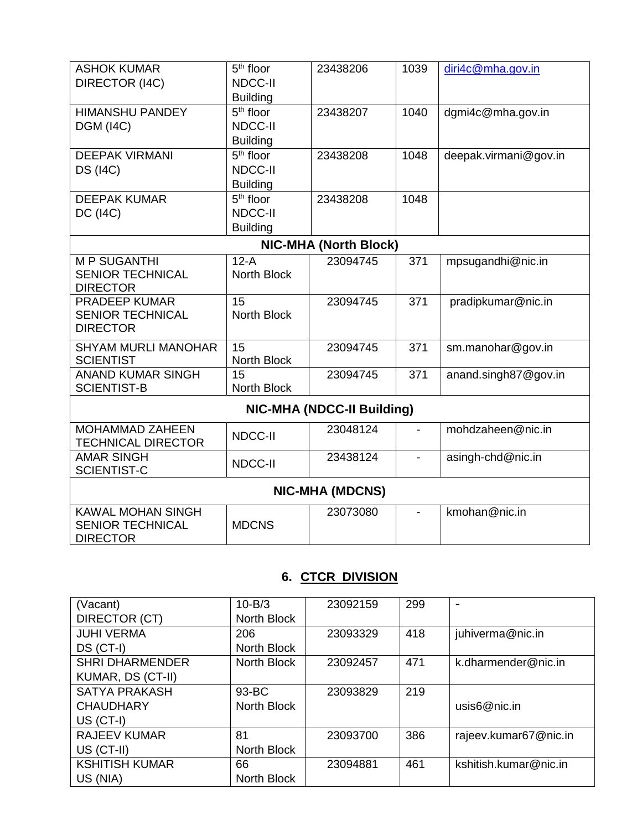| <b>ASHOK KUMAR</b>         | $5th$ floor        | 23438206                          | 1039           | diri4c@mha.gov.in     |  |  |
|----------------------------|--------------------|-----------------------------------|----------------|-----------------------|--|--|
| DIRECTOR (I4C)             | <b>NDCC-II</b>     |                                   |                |                       |  |  |
|                            | <b>Building</b>    |                                   |                |                       |  |  |
| <b>HIMANSHU PANDEY</b>     | $5th$ floor        | 23438207                          | 1040           | dgmi4c@mha.gov.in     |  |  |
| <b>DGM (I4C)</b>           | <b>NDCC-II</b>     |                                   |                |                       |  |  |
|                            | <b>Building</b>    |                                   |                |                       |  |  |
| <b>DEEPAK VIRMANI</b>      | $5th$ floor        | 23438208                          | 1048           | deepak.virmani@gov.in |  |  |
| <b>DS (I4C)</b>            | <b>NDCC-II</b>     |                                   |                |                       |  |  |
|                            | <b>Building</b>    |                                   |                |                       |  |  |
| <b>DEEPAK KUMAR</b>        | $5th$ floor        | 23438208                          | 1048           |                       |  |  |
| <b>DC (I4C)</b>            | <b>NDCC-II</b>     |                                   |                |                       |  |  |
|                            | <b>Building</b>    |                                   |                |                       |  |  |
|                            |                    | <b>NIC-MHA (North Block)</b>      |                |                       |  |  |
| <b>MP SUGANTHI</b>         | $12-A$             | 23094745                          | 371            | mpsugandhi@nic.in     |  |  |
| <b>SENIOR TECHNICAL</b>    | <b>North Block</b> |                                   |                |                       |  |  |
| <b>DIRECTOR</b>            |                    |                                   |                |                       |  |  |
| PRADEEP KUMAR              | 15                 | 23094745                          | 371            | pradipkumar@nic.in    |  |  |
| <b>SENIOR TECHNICAL</b>    | <b>North Block</b> |                                   |                |                       |  |  |
| <b>DIRECTOR</b>            |                    |                                   |                |                       |  |  |
| <b>SHYAM MURLI MANOHAR</b> | 15                 | 23094745                          | 371            | sm.manohar@gov.in     |  |  |
| <b>SCIENTIST</b>           | North Block        |                                   |                |                       |  |  |
| <b>ANAND KUMAR SINGH</b>   | 15                 | 23094745                          | 371            | anand.singh87@gov.in  |  |  |
| <b>SCIENTIST-B</b>         | North Block        |                                   |                |                       |  |  |
|                            |                    | <b>NIC-MHA (NDCC-II Building)</b> |                |                       |  |  |
| <b>MOHAMMAD ZAHEEN</b>     | <b>NDCC-II</b>     | 23048124                          | $\blacksquare$ | mohdzaheen@nic.in     |  |  |
| <b>TECHNICAL DIRECTOR</b>  |                    |                                   |                |                       |  |  |
| <b>AMAR SINGH</b>          | <b>NDCC-II</b>     | 23438124                          |                | asingh-chd@nic.in     |  |  |
| <b>SCIENTIST-C</b>         |                    |                                   |                |                       |  |  |
| <b>NIC-MHA (MDCNS)</b>     |                    |                                   |                |                       |  |  |
| <b>KAWAL MOHAN SINGH</b>   |                    | 23073080                          |                | kmohan@nic.in         |  |  |
| <b>SENIOR TECHNICAL</b>    | <b>MDCNS</b>       |                                   |                |                       |  |  |

# **6. CTCR DIVISION**

DIRECTOR

| (Vacant)               | $10 - B/3$  | 23092159 | 299 | $\overline{\phantom{0}}$ |
|------------------------|-------------|----------|-----|--------------------------|
| DIRECTOR (CT)          | North Block |          |     |                          |
| <b>JUHI VERMA</b>      | 206         | 23093329 | 418 | juhiverma@nic.in         |
| $DS (CT-I)$            | North Block |          |     |                          |
| <b>SHRI DHARMENDER</b> | North Block | 23092457 | 471 | k.dharmender@nic.in      |
| KUMAR, DS (CT-II)      |             |          |     |                          |
| <b>SATYA PRAKASH</b>   | 93-BC       | 23093829 | 219 |                          |
| <b>CHAUDHARY</b>       | North Block |          |     | usis6@nic.in             |
| $US (CT-I)$            |             |          |     |                          |
| <b>RAJEEV KUMAR</b>    | 81          | 23093700 | 386 | rajeev.kumar67@nic.in    |
| US (CT-II)             | North Block |          |     |                          |
| <b>KSHITISH KUMAR</b>  | 66          | 23094881 | 461 | kshitish.kumar@nic.in    |
| US (NIA)               | North Block |          |     |                          |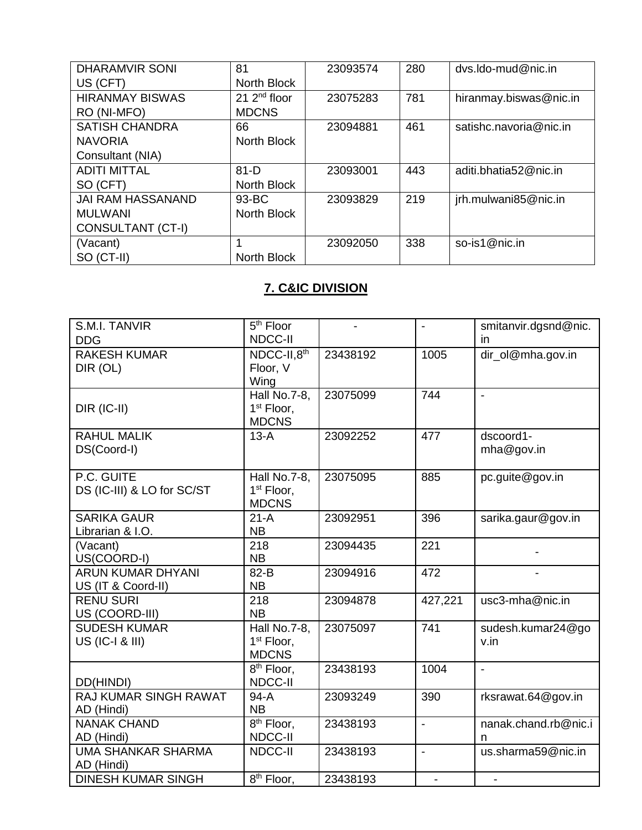| <b>DHARAMVIR SONI</b>    | 81               | 23093574 | 280 | dys.ldo-mud@nic.in     |
|--------------------------|------------------|----------|-----|------------------------|
| US (CFT)                 | North Block      |          |     |                        |
| <b>HIRANMAY BISWAS</b>   | $21$ $2nd$ floor | 23075283 | 781 | hiranmay.biswas@nic.in |
| RO (NI-MFO)              | <b>MDCNS</b>     |          |     |                        |
| <b>SATISH CHANDRA</b>    | 66               | 23094881 | 461 | satishc.navoria@nic.in |
| <b>NAVORIA</b>           | North Block      |          |     |                        |
| Consultant (NIA)         |                  |          |     |                        |
| <b>ADITI MITTAL</b>      | $81-D$           | 23093001 | 443 | aditi.bhatia52@nic.in  |
| SO (CFT)                 | North Block      |          |     |                        |
| <b>JAI RAM HASSANAND</b> | 93-BC            | 23093829 | 219 | jrh.mulwani85@nic.in   |
| <b>MULWANI</b>           | North Block      |          |     |                        |
| CONSULTANT (CT-I)        |                  |          |     |                        |
| (Vacant)                 |                  | 23092050 | 338 | so-is1@nic.in          |
| SO (CT-II)               | North Block      |          |     |                        |

## **7. C&IC DIVISION**

| S.M.I. TANVIR              | 5 <sup>th</sup> Floor                  |          | $\blacksquare$ | smitanvir.dgsnd@nic. |
|----------------------------|----------------------------------------|----------|----------------|----------------------|
| <b>DDG</b>                 | <b>NDCC-II</b>                         |          |                | in                   |
| <b>RAKESH KUMAR</b>        | NDCC-II,8th                            | 23438192 | 1005           | dir_ol@mha.gov.in    |
| DIR (OL)                   | Floor, V                               |          |                |                      |
|                            | Wing                                   |          |                |                      |
|                            | Hall No.7-8,                           | 23075099 | 744            | $\blacksquare$       |
| DIR (IC-II)                | 1 <sup>st</sup> Floor,                 |          |                |                      |
|                            | <b>MDCNS</b>                           |          |                |                      |
| <b>RAHUL MALIK</b>         | $13-A$                                 | 23092252 | 477            | dscoord1-            |
| DS(Coord-I)                |                                        |          |                | mha@gov.in           |
|                            |                                        |          |                |                      |
| P.C. GUITE                 | Hall No.7-8,                           | 23075095 | 885            | pc.guite@gov.in      |
| DS (IC-III) & LO for SC/ST | 1 <sup>st</sup> Floor,<br><b>MDCNS</b> |          |                |                      |
| <b>SARIKA GAUR</b>         | $21-A$                                 | 23092951 | 396            | sarika.gaur@gov.in   |
| Librarian & I.O.           | <b>NB</b>                              |          |                |                      |
| (Vacant)                   | 218                                    | 23094435 | 221            |                      |
| US(COORD-I)                | <b>NB</b>                              |          |                |                      |
| <b>ARUN KUMAR DHYANI</b>   | 82-B                                   | 23094916 | 472            |                      |
| US (IT & Coord-II)         | <b>NB</b>                              |          |                |                      |
| <b>RENU SURI</b>           | 218                                    | 23094878 | 427,221        | usc3-mha@nic.in      |
| US (COORD-III)             | <b>NB</b>                              |          |                |                      |
| <b>SUDESH KUMAR</b>        | Hall No.7-8,                           | 23075097 | 741            | sudesh.kumar24@go    |
| US (IC-I & III)            | 1 <sup>st</sup> Floor,                 |          |                | v.in                 |
|                            | <b>MDCNS</b>                           |          |                |                      |
|                            | 8 <sup>th</sup> Floor,                 | 23438193 | 1004           | $\blacksquare$       |
| DD(HINDI)                  | NDCC-II                                |          |                |                      |
| RAJ KUMAR SINGH RAWAT      | $94-A$                                 | 23093249 | 390            | rksrawat.64@gov.in   |
| AD (Hindi)                 | <b>NB</b>                              |          |                |                      |
| <b>NANAK CHAND</b>         | $\overline{8}$ <sup>th</sup> Floor,    | 23438193 | $\overline{a}$ | nanak.chand.rb@nic.i |
| AD (Hindi)                 | NDCC-II                                |          |                | n                    |
| <b>UMA SHANKAR SHARMA</b>  | NDCC-II                                | 23438193 | $\blacksquare$ | us.sharma59@nic.in   |
| AD (Hindi)                 |                                        |          |                |                      |
| <b>DINESH KUMAR SINGH</b>  | $\overline{8^{th}}$ Floor,             | 23438193 |                |                      |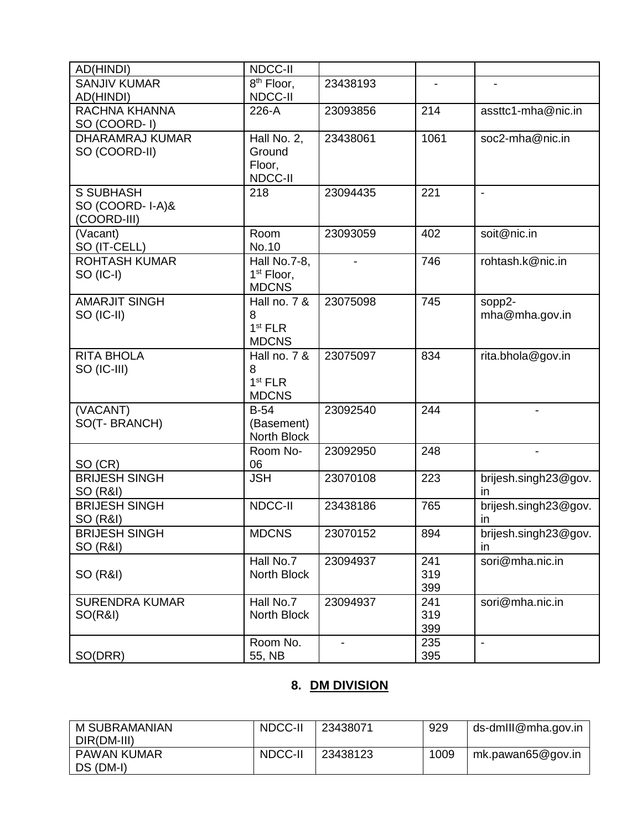| AD(HINDI)                                          | NDCC-II                                                  |          |                   |                            |
|----------------------------------------------------|----------------------------------------------------------|----------|-------------------|----------------------------|
| <b>SANJIV KUMAR</b><br>AD(HINDI)                   | 8 <sup>th</sup> Floor,<br>NDCC-II                        | 23438193 | $\blacksquare$    |                            |
| RACHNA KHANNA<br>SO (COORD-1)                      | 226-A                                                    | 23093856 | 214               | assttc1-mha@nic.in         |
| <b>DHARAMRAJ KUMAR</b><br>SO (COORD-II)            | Hall No. 2,<br>Ground<br>Floor,<br>NDCC-II               | 23438061 | 1061              | soc2-mha@nic.in            |
| <b>S SUBHASH</b><br>SO (COORD-I-A)&<br>(COORD-III) | 218                                                      | 23094435 | 221               | $\overline{\phantom{a}}$   |
| (Vacant)<br>SO (IT-CELL)                           | Room<br>No.10                                            | 23093059 | 402               | soit@nic.in                |
| <b>ROHTASH KUMAR</b><br>SO (IC-I)                  | Hall No.7-8,<br>1 <sup>st</sup> Floor,<br><b>MDCNS</b>   |          | 746               | rohtash.k@nic.in           |
| <b>AMARJIT SINGH</b><br>SO (IC-II)                 | Hall no. 7 &<br>8<br>1 <sup>st</sup> FLR<br><b>MDCNS</b> | 23075098 | 745               | sopp2-<br>mha@mha.gov.in   |
| <b>RITA BHOLA</b><br>SO (IC-III)                   | Hall no. 7 &<br>8<br>1 <sup>st</sup> FLR<br><b>MDCNS</b> | 23075097 | 834               | rita.bhola@gov.in          |
| (VACANT)<br>SO(T-BRANCH)                           | $B-54$<br>(Basement)<br>North Block                      | 23092540 | 244               |                            |
| SO (CR)                                            | Room No-<br>06                                           | 23092950 | 248               |                            |
| <b>BRIJESH SINGH</b><br>SO (R&I)                   | <b>JSH</b>                                               | 23070108 | 223               | brijesh.singh23@gov.<br>in |
| <b>BRIJESH SINGH</b><br>SO (R&I)                   | NDCC-II                                                  | 23438186 | 765               | brijesh.singh23@gov.<br>in |
| <b>BRIJESH SINGH</b><br>SO (R&I)                   | <b>MDCNS</b>                                             | 23070152 | 894               | brijesh.singh23@gov.<br>in |
| SO (R&I)                                           | Hall No.7<br>North Block                                 | 23094937 | 241<br>319<br>399 | sori@mha.nic.in            |
| <b>SURENDRA KUMAR</b><br><b>SO(R&amp;I)</b>        | Hall No.7<br>North Block                                 | 23094937 | 241<br>319<br>399 | sori@mha.nic.in            |
| SO(DRR)                                            | Room No.<br>55, NB                                       |          | 235<br>395        | $\overline{\phantom{a}}$   |

## **8. DM DIVISION**

| <b>M SUBRAMANIAN</b> | NDCC-II | 23438071 | 929  | ds-dmlll@mha.gov.in |
|----------------------|---------|----------|------|---------------------|
| DIR(DM-III)          |         |          |      |                     |
| <b>PAWAN KUMAR</b>   | NDCC-II | 23438123 | 1009 | mk.pawan65@gov.in   |
| DS (DM-I)            |         |          |      |                     |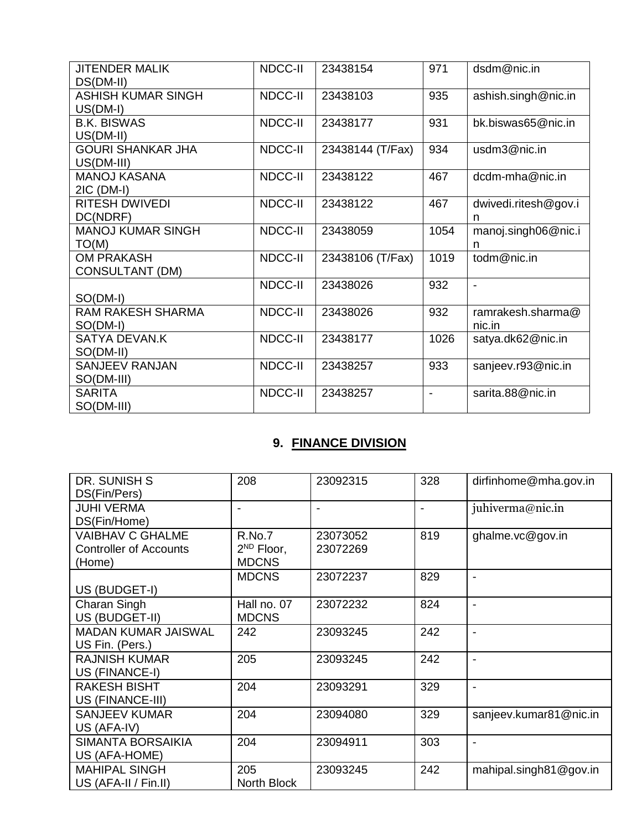| <b>JITENDER MALIK</b><br>DS(DM-II)          | <b>NDCC-II</b> | 23438154         | 971            | dsdm@nic.in                 |
|---------------------------------------------|----------------|------------------|----------------|-----------------------------|
| <b>ASHISH KUMAR SINGH</b><br>$US(DM-I)$     | NDCC-II        | 23438103         | 935            | ashish.singh@nic.in         |
| <b>B.K. BISWAS</b><br>US(DM-II)             | NDCC-II        | 23438177         | 931            | bk.biswas65@nic.in          |
| <b>GOURI SHANKAR JHA</b><br>US(DM-III)      | NDCC-II        | 23438144 (T/Fax) | 934            | usdm3@nic.in                |
| <b>MANOJ KASANA</b><br>$2IC$ (DM-I)         | NDCC-II        | 23438122         | 467            | dcdm-mha@nic.in             |
| <b>RITESH DWIVEDI</b><br>DC(NDRF)           | NDCC-II        | 23438122         | 467            | dwivedi.ritesh@gov.i<br>n   |
| <b>MANOJ KUMAR SINGH</b><br>TO(M)           | <b>NDCC-II</b> | 23438059         | 1054           | manoj.singh06@nic.i<br>n    |
| <b>OM PRAKASH</b><br><b>CONSULTANT (DM)</b> | <b>NDCC-II</b> | 23438106 (T/Fax) | 1019           | todm@nic.in                 |
| SO(DM-I)                                    | NDCC-II        | 23438026         | 932            | $\blacksquare$              |
| <b>RAM RAKESH SHARMA</b><br>SO(DM-I)        | <b>NDCC-II</b> | 23438026         | 932            | ramrakesh.sharma@<br>nic.in |
| SATYA DEVAN.K<br>SO(DM-II)                  | <b>NDCC-II</b> | 23438177         | 1026           | satya.dk62@nic.in           |
| <b>SANJEEV RANJAN</b><br>SO(DM-III)         | NDCC-II        | 23438257         | 933            | sanjeev.r93@nic.in          |
| <b>SARITA</b><br>SO(DM-III)                 | NDCC-II        | 23438257         | $\blacksquare$ | sarita.88@nic.in            |

## **9. FINANCE DIVISION**

| DR. SUNISH S                  | 208             | 23092315 | 328 | dirfinhome@mha.gov.in    |
|-------------------------------|-----------------|----------|-----|--------------------------|
| DS(Fin/Pers)                  |                 |          |     |                          |
| <b>JUHI VERMA</b>             | ۰               |          |     | juhiverma@nic.in         |
| DS(Fin/Home)                  |                 |          |     |                          |
| <b>VAIBHAV C GHALME</b>       | R.No.7          | 23073052 | 819 | ghalme.vc@gov.in         |
| <b>Controller of Accounts</b> | $2^{ND}$ Floor, | 23072269 |     |                          |
| (Home)                        | <b>MDCNS</b>    |          |     |                          |
|                               | <b>MDCNS</b>    | 23072237 | 829 | $\blacksquare$           |
| US (BUDGET-I)                 |                 |          |     |                          |
| Charan Singh                  | Hall no. 07     | 23072232 | 824 | $\blacksquare$           |
| US (BUDGET-II)                | <b>MDCNS</b>    |          |     |                          |
| <b>MADAN KUMAR JAISWAL</b>    | 242             | 23093245 | 242 |                          |
| US Fin. (Pers.)               |                 |          |     |                          |
| <b>RAJNISH KUMAR</b>          | 205             | 23093245 | 242 |                          |
| US (FINANCE-I)                |                 |          |     |                          |
| <b>RAKESH BISHT</b>           | 204             | 23093291 | 329 | $\overline{\phantom{a}}$ |
| US (FINANCE-III)              |                 |          |     |                          |
| <b>SANJEEV KUMAR</b>          | 204             | 23094080 | 329 | sanjeev.kumar81@nic.in   |
| US (AFA-IV)                   |                 |          |     |                          |
| <b>SIMANTA BORSAIKIA</b>      | 204             | 23094911 | 303 | $\blacksquare$           |
| US (AFA-HOME)                 |                 |          |     |                          |
| <b>MAHIPAL SINGH</b>          | 205             | 23093245 | 242 | mahipal.singh81@gov.in   |
| US (AFA-II / Fin.II)          | North Block     |          |     |                          |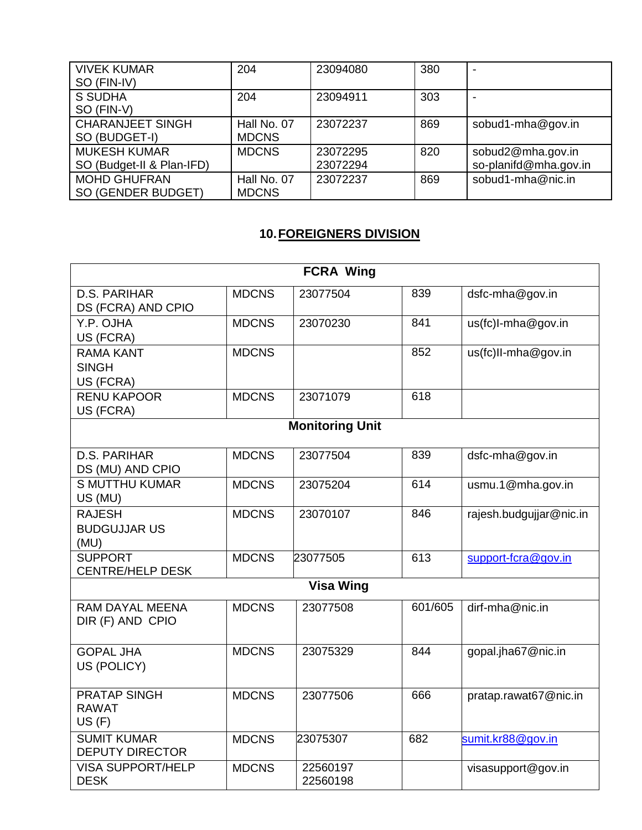| <b>VIVEK KUMAR</b>        | 204          | 23094080 | 380 |                       |
|---------------------------|--------------|----------|-----|-----------------------|
| SO (FIN-IV)               |              |          |     |                       |
| S SUDHA                   | 204          | 23094911 | 303 |                       |
| SO (FIN-V)                |              |          |     |                       |
| <b>CHARANJEET SINGH</b>   | Hall No. 07  | 23072237 | 869 | sobud1-mha@gov.in     |
| SO (BUDGET-I)             | <b>MDCNS</b> |          |     |                       |
| <b>MUKESH KUMAR</b>       | <b>MDCNS</b> | 23072295 | 820 | sobud2@mha.gov.in     |
| SO (Budget-II & Plan-IFD) |              | 23072294 |     | so-planifd@mha.gov.in |
| <b>MOHD GHUFRAN</b>       | Hall No. 07  | 23072237 | 869 | sobud1-mha@nic.in     |
| SO (GENDER BUDGET)        | <b>MDCNS</b> |          |     |                       |

# **10.FOREIGNERS DIVISION**

|                                               |              | <b>FCRA Wing</b>       |         |                         |
|-----------------------------------------------|--------------|------------------------|---------|-------------------------|
| <b>D.S. PARIHAR</b><br>DS (FCRA) AND CPIO     | <b>MDCNS</b> | 23077504               | 839     | dsfc-mha@gov.in         |
| Y.P. OJHA<br>US (FCRA)                        | <b>MDCNS</b> | 23070230               | 841     | us(fc)I-mha@gov.in      |
| <b>RAMA KANT</b><br><b>SINGH</b><br>US (FCRA) | <b>MDCNS</b> |                        | 852     | us(fc)II-mha@gov.in     |
| <b>RENU KAPOOR</b><br>US (FCRA)               | <b>MDCNS</b> | 23071079               | 618     |                         |
|                                               |              | <b>Monitoring Unit</b> |         |                         |
| <b>D.S. PARIHAR</b><br>DS (MU) AND CPIO       | <b>MDCNS</b> | 23077504               | 839     | dsfc-mha@gov.in         |
| <b>S MUTTHU KUMAR</b><br>US (MU)              | <b>MDCNS</b> | 23075204               | 614     | usmu.1@mha.gov.in       |
| <b>RAJESH</b><br><b>BUDGUJJAR US</b><br>(MU)  | <b>MDCNS</b> | 23070107               | 846     | rajesh.budgujjar@nic.in |
| <b>SUPPORT</b><br><b>CENTRE/HELP DESK</b>     | <b>MDCNS</b> | 23077505               | 613     | support-fcra@gov.in     |
|                                               |              | <b>Visa Wing</b>       |         |                         |
| <b>RAM DAYAL MEENA</b><br>DIR (F) AND CPIO    | <b>MDCNS</b> | 23077508               | 601/605 | dirf-mha@nic.in         |
| <b>GOPAL JHA</b><br>US (POLICY)               | <b>MDCNS</b> | 23075329               | 844     | gopal.jha67@nic.in      |
| <b>PRATAP SINGH</b><br><b>RAWAT</b><br>US(F)  | <b>MDCNS</b> | 23077506               | 666     | pratap.rawat67@nic.in   |
| <b>SUMIT KUMAR</b><br><b>DEPUTY DIRECTOR</b>  | <b>MDCNS</b> | 23075307               | 682     | sumit.kr88@gov.in       |
| <b>VISA SUPPORT/HELP</b><br><b>DESK</b>       | <b>MDCNS</b> | 22560197<br>22560198   |         | visasupport@gov.in      |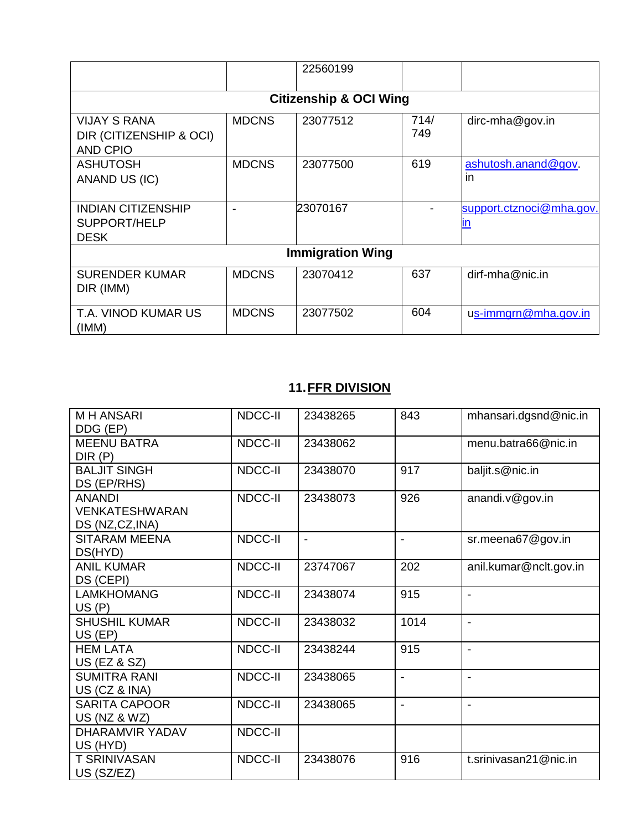|                                                                   |              | 22560199                          |             |                           |  |
|-------------------------------------------------------------------|--------------|-----------------------------------|-------------|---------------------------|--|
|                                                                   |              | <b>Citizenship &amp; OCI Wing</b> |             |                           |  |
| <b>VIJAY S RANA</b><br>DIR (CITIZENSHIP & OCI)<br><b>AND CPIO</b> | <b>MDCNS</b> | 23077512                          | 714/<br>749 | $dirc$ -mha@gov.in        |  |
| <b>ASHUTOSH</b><br>ANAND US (IC)                                  | <b>MDCNS</b> | 23077500                          | 619         | ashutosh.anand@gov.<br>in |  |
| <b>INDIAN CITIZENSHIP</b><br>SUPPORT/HELP<br><b>DESK</b>          |              | 23070167                          |             | support.ctznoci@mha.gov.  |  |
| <b>Immigration Wing</b>                                           |              |                                   |             |                           |  |
| <b>SURENDER KUMAR</b><br>DIR (IMM)                                | <b>MDCNS</b> | 23070412                          | 637         | $dirf-mha@nic.in$         |  |
| T.A. VINOD KUMAR US<br>(IMM)                                      | <b>MDCNS</b> | 23077502                          | 604         | us-immgrn@mha.gov.in      |  |

# **11.FFR DIVISION**

| <b>MH ANSARI</b><br>DDG (EP)                              | NDCC-II        | 23438265<br>843 |                          | mhansari.dgsnd@nic.in    |
|-----------------------------------------------------------|----------------|-----------------|--------------------------|--------------------------|
| <b>MEENU BATRA</b><br>DIR(P)                              | NDCC-II        | 23438062        |                          | menu.batra66@nic.in      |
| <b>BALJIT SINGH</b><br>DS (EP/RHS)                        | NDCC-II        | 23438070        | 917                      | baljit.s@nic.in          |
| <b>ANANDI</b><br><b>VENKATESHWARAN</b><br>DS (NZ,CZ, INA) | NDCC-II        | 23438073        | 926                      | anandi.v@gov.in          |
| <b>SITARAM MEENA</b><br>DS(HYD)                           | NDCC-II        | $\overline{a}$  | $\overline{\phantom{0}}$ | sr.meena67@gov.in        |
| <b>ANIL KUMAR</b><br>DS (CEPI)                            | NDCC-II        | 23747067        | 202                      | anil.kumar@nclt.gov.in   |
| <b>LAMKHOMANG</b><br>US(P)                                | NDCC-II        | 23438074        | 915                      | $\blacksquare$           |
| <b>SHUSHIL KUMAR</b><br>$US$ (EP)                         | NDCC-II        | 23438032        | 1014                     | $\blacksquare$           |
| <b>HEM LATA</b><br><b>US (EZ &amp; SZ)</b>                | NDCC-II        | 23438244        | 915                      | $\blacksquare$           |
| <b>SUMITRA RANI</b><br>US (CZ & INA)                      | <b>NDCC-II</b> | 23438065        | $\blacksquare$           | $\overline{\phantom{a}}$ |
| <b>SARITA CAPOOR</b><br>US (NZ & WZ)                      | NDCC-II        | 23438065        | $\blacksquare$           | $\blacksquare$           |
| DHARAMVIR YADAV<br>US (HYD)                               | <b>NDCC-II</b> |                 |                          |                          |
| <b>T SRINIVASAN</b><br>US (SZ/EZ)                         | NDCC-II        | 23438076        | 916                      | t.srinivasan21@nic.in    |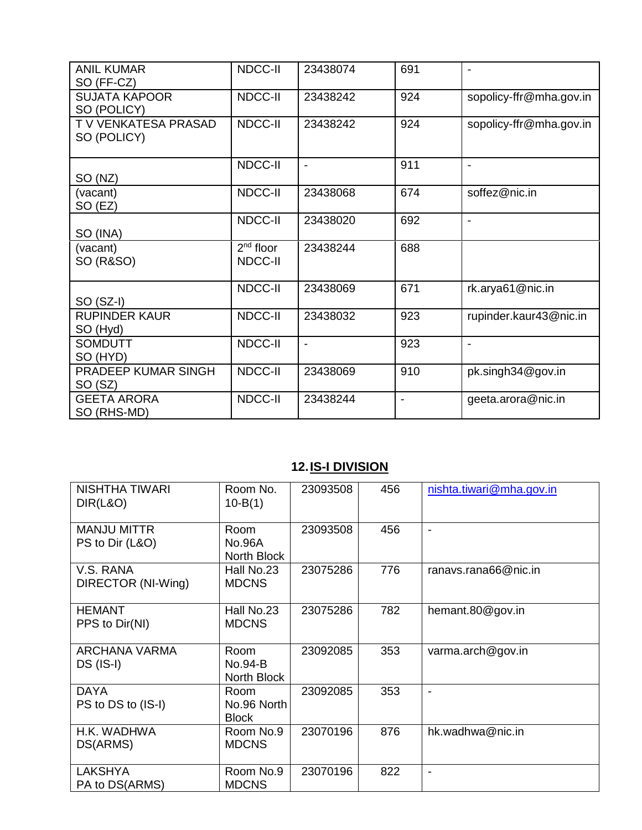| <b>ANIL KUMAR</b><br>SO (FF-CZ)     | <b>NDCC-II</b>         | 23438074       | 691 |                         |
|-------------------------------------|------------------------|----------------|-----|-------------------------|
| <b>SUJATA KAPOOR</b><br>SO (POLICY) | <b>NDCC-II</b>         | 23438242       | 924 | sopolicy-ffr@mha.gov.in |
| T V VENKATESA PRASAD<br>SO (POLICY) | NDCC-II                | 23438242       | 924 | sopolicy-ffr@mha.gov.in |
| SO (NZ)                             | <b>NDCC-II</b>         | $\blacksquare$ | 911 | $\blacksquare$          |
| (vacant)<br>SO (EZ)                 | NDCC-II                | 23438068       | 674 | soffez@nic.in           |
| SO (INA)                            | <b>NDCC-II</b>         | 23438020       | 692 | $\blacksquare$          |
| (vacant)<br><b>SO (R&amp;SO)</b>    | $2nd$ floor<br>NDCC-II | 23438244       | 688 |                         |
| $SO(SZ-I)$                          | <b>NDCC-II</b>         | 23438069       | 671 | rk.arya61@nic.in        |
| <b>RUPINDER KAUR</b><br>SO (Hyd)    | <b>NDCC-II</b>         | 23438032       | 923 | rupinder.kaur43@nic.in  |
| <b>SOMDUTT</b><br>SO (HYD)          | <b>NDCC-II</b>         | $\blacksquare$ | 923 | $\blacksquare$          |
| PRADEEP KUMAR SINGH<br>SO (SZ)      | NDCC-II                | 23438069       | 910 | pk.singh34@gov.in       |
| <b>GEETA ARORA</b><br>SO (RHS-MD)   | <b>NDCC-II</b>         | 23438244       |     | geeta.arora@nic.in      |

# **12.IS-I DIVISION**

| NISHTHA TIWARI<br>DIR(L&O)               | Room No.<br>$10 - B(1)$              | 23093508 | 456 | nishta.tiwari@mha.gov.in |
|------------------------------------------|--------------------------------------|----------|-----|--------------------------|
| <b>MANJU MITTR</b><br>PS to Dir (L&O)    | Room<br><b>No.96A</b><br>North Block | 23093508 | 456 |                          |
| V.S. RANA<br>DIRECTOR (NI-Wing)          | Hall No.23<br><b>MDCNS</b>           | 23075286 | 776 | ranavs.rana66@nic.in     |
| <b>HEMANT</b><br>PPS to Dir(NI)          | Hall No.23<br><b>MDCNS</b>           | 23075286 | 782 | hemant.80@gov.in         |
| <b>ARCHANA VARMA</b><br><b>DS (IS-I)</b> | Room<br>No.94-B<br>North Block       | 23092085 | 353 | varma.arch@gov.in        |
| <b>DAYA</b><br>PS to DS to (IS-I)        | Room<br>No.96 North<br><b>Block</b>  | 23092085 | 353 |                          |
| H.K. WADHWA<br>DS(ARMS)                  | Room No.9<br><b>MDCNS</b>            | 23070196 | 876 | hk.wadhwa@nic.in         |
| <b>LAKSHYA</b><br>PA to DS(ARMS)         | Room No.9<br><b>MDCNS</b>            | 23070196 | 822 |                          |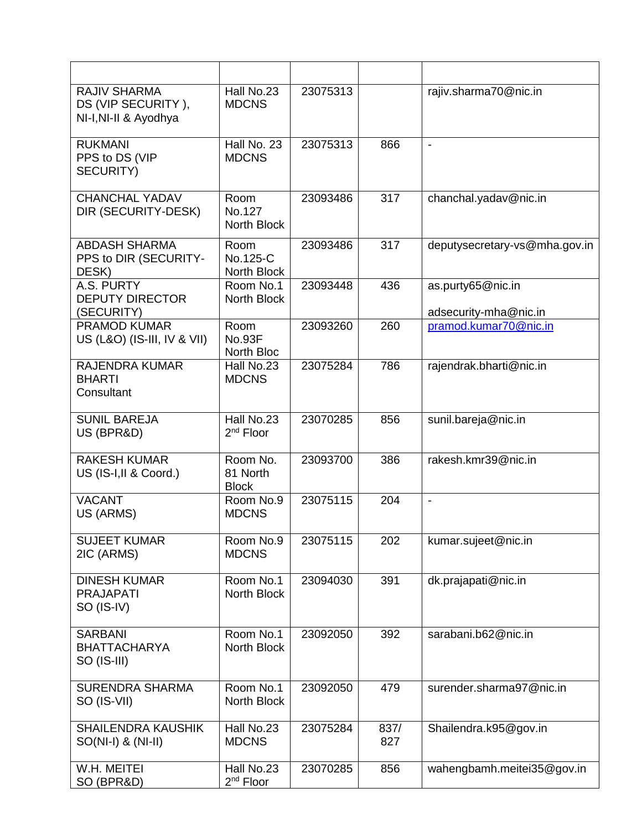| <b>RAJIV SHARMA</b><br>DS (VIP SECURITY),<br>NI-I, NI-II & Ayodhya | Hall No.23<br><b>MDCNS</b>           | 23075313 |             | rajiv.sharma70@nic.in                      |
|--------------------------------------------------------------------|--------------------------------------|----------|-------------|--------------------------------------------|
| <b>RUKMANI</b><br>PPS to DS (VIP<br>SECURITY)                      | Hall No. 23<br><b>MDCNS</b>          | 23075313 | 866         | $\blacksquare$                             |
| <b>CHANCHAL YADAV</b><br>DIR (SECURITY-DESK)                       | Room<br>No.127<br>North Block        | 23093486 | 317         | chanchal.yadav@nic.in                      |
| <b>ABDASH SHARMA</b><br>PPS to DIR (SECURITY-<br>DESK)             | Room<br>No.125-C<br>North Block      | 23093486 | 317         | deputysecretary-vs@mha.gov.in              |
| A.S. PURTY<br><b>DEPUTY DIRECTOR</b><br>(SECURITY)                 | Room No.1<br>North Block             | 23093448 | 436         | as.purty65@nic.in<br>adsecurity-mha@nic.in |
| <b>PRAMOD KUMAR</b><br>US (L&O) (IS-III, IV & VII)                 | Room<br><b>No.93F</b><br>North Bloc  | 23093260 | 260         | pramod.kumar70@nic.in                      |
| <b>RAJENDRA KUMAR</b><br><b>BHARTI</b><br>Consultant               | Hall No.23<br><b>MDCNS</b>           | 23075284 | 786         | rajendrak.bharti@nic.in                    |
| <b>SUNIL BAREJA</b><br>US (BPR&D)                                  | Hall No.23<br>2 <sup>nd</sup> Floor  | 23070285 | 856         | sunil.bareja@nic.in                        |
| <b>RAKESH KUMAR</b><br>US (IS-I, II & Coord.)                      | Room No.<br>81 North<br><b>Block</b> | 23093700 | 386         | rakesh.kmr39@nic.in                        |
| <b>VACANT</b><br>US (ARMS)                                         | Room No.9<br><b>MDCNS</b>            | 23075115 | 204         | $\blacksquare$                             |
| <b>SUJEET KUMAR</b><br>2IC (ARMS)                                  | Room No.9<br><b>MDCNS</b>            | 23075115 | 202         | kumar.sujeet@nic.in                        |
| <b>DINESH KUMAR</b><br><b>PRAJAPATI</b><br>SO (IS-IV)              | Room No.1<br>North Block             | 23094030 | 391         | dk.prajapati@nic.in                        |
| <b>SARBANI</b><br><b>BHATTACHARYA</b><br>SO (IS-III)               | Room No.1<br>North Block             | 23092050 | 392         | sarabani.b62@nic.in                        |
| <b>SURENDRA SHARMA</b><br>SO (IS-VII)                              | Room No.1<br>North Block             | 23092050 | 479         | surender.sharma97@nic.in                   |
| <b>SHAILENDRA KAUSHIK</b><br>$SO(NI-I)$ & $(NI-II)$                | Hall No.23<br><b>MDCNS</b>           | 23075284 | 837/<br>827 | Shailendra.k95@gov.in                      |
| W.H. MEITEI<br>SO (BPR&D)                                          | Hall No.23<br>$2nd$ Floor            | 23070285 | 856         | wahengbamh.meitei35@gov.in                 |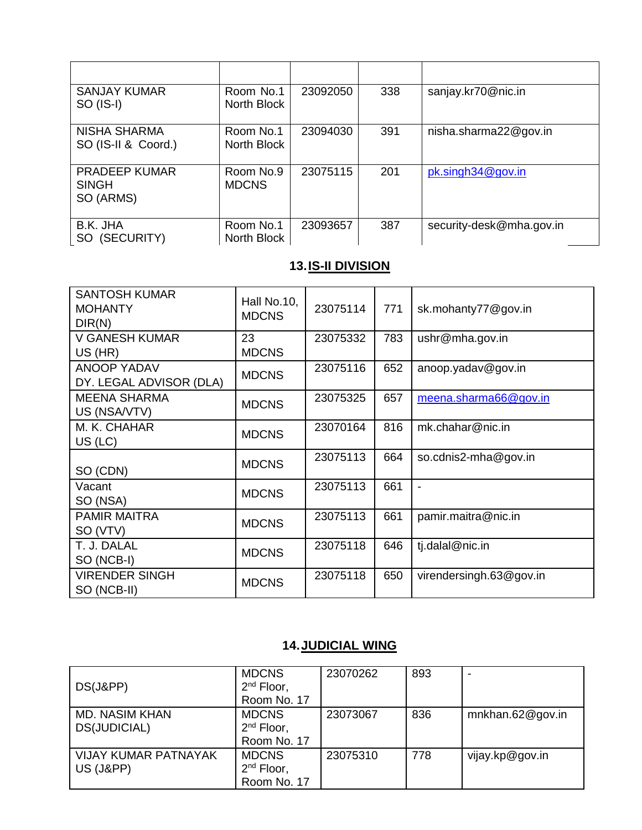| <b>SANJAY KUMAR</b><br>SO (IS-I)                  | Room No.1<br>North Block  | 23092050 | 338 | sanjay.kr70@nic.in       |
|---------------------------------------------------|---------------------------|----------|-----|--------------------------|
| <b>NISHA SHARMA</b><br>SO (IS-II & Coord.)        | Room No.1<br>North Block  | 23094030 | 391 | nisha.sharma22@gov.in    |
| <b>PRADEEP KUMAR</b><br><b>SINGH</b><br>SO (ARMS) | Room No.9<br><b>MDCNS</b> | 23075115 | 201 | pk.singh34@gov.in        |
| B.K. JHA<br>(SECURITY)<br>SO.                     | Room No.1<br>North Block  | 23093657 | 387 | security-desk@mha.gov.in |

## **13.IS-II DIVISION**

| <b>SANTOSH KUMAR</b><br><b>MOHANTY</b><br>DIR(N) | Hall No.10,<br><b>MDCNS</b> | 23075114 | 771 | sk.mohanty77@gov.in     |
|--------------------------------------------------|-----------------------------|----------|-----|-------------------------|
| <b>V GANESH KUMAR</b><br>US (HR)                 | 23<br><b>MDCNS</b>          | 23075332 | 783 | ushr@mha.gov.in         |
| <b>ANOOP YADAV</b><br>DY. LEGAL ADVISOR (DLA)    | <b>MDCNS</b>                | 23075116 | 652 | anoop.yadav@gov.in      |
| <b>MEENA SHARMA</b><br>US (NSA/VTV)              | <b>MDCNS</b>                | 23075325 | 657 | meena.sharma66@gov.in   |
| M. K. CHAHAR<br>$US$ (LC)                        | <b>MDCNS</b>                | 23070164 | 816 | mk.chahar@nic.in        |
| SO (CDN)                                         | <b>MDCNS</b>                | 23075113 | 664 | so.cdnis2-mha@gov.in    |
| Vacant<br>SO (NSA)                               | <b>MDCNS</b>                | 23075113 | 661 | $\blacksquare$          |
| <b>PAMIR MAITRA</b><br>SO (VTV)                  | <b>MDCNS</b>                | 23075113 | 661 | pamir.maitra@nic.in     |
| T. J. DALAL<br>SO (NCB-I)                        | <b>MDCNS</b>                | 23075118 | 646 | tj.dalal@nic.in         |
| <b>VIRENDER SINGH</b><br>SO (NCB-II)             | <b>MDCNS</b>                | 23075118 | 650 | virendersingh.63@gov.in |

# **14.JUDICIAL WING**

| DS(J&PP)                                            | <b>MDCNS</b><br>$2nd$ Floor,<br>Room No. 17    | 23070262 | 893 |                  |
|-----------------------------------------------------|------------------------------------------------|----------|-----|------------------|
| <b>MD. NASIM KHAN</b><br>DS(JUDICIAL)               | <b>MDCNS</b><br>$2nd$ Floor,<br>Room No. 17    | 23073067 | 836 | mnkhan.62@gov.in |
| <b>VIJAY KUMAR PATNAYAK</b><br><b>US (J&amp;PP)</b> | <b>MDCNS</b><br>$2^{nd}$ Floor,<br>Room No. 17 | 23075310 | 778 | vijay.kp@gov.in  |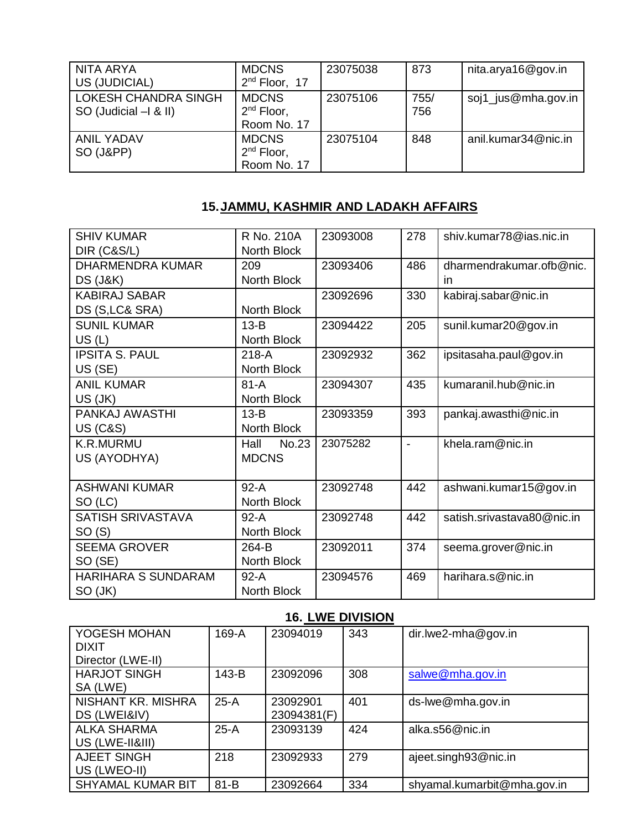| I NITA ARYA<br>US (JUDICIAL)                                  | <b>MDCNS</b><br>$2nd$ Floor, 17             | 23075038 | 873         | nita.arya16@gov.in  |
|---------------------------------------------------------------|---------------------------------------------|----------|-------------|---------------------|
| <b>LOKESH CHANDRA SINGH</b><br>$\sim$ SO (Judicial $-1$ & II) | <b>MDCNS</b><br>$2nd$ Floor,<br>Room No. 17 | 23075106 | 755/<br>756 | soj1_jus@mha.gov.in |
| <b>ANIL YADAV</b><br>SO (J&PP)                                | <b>MDCNS</b><br>$2nd$ Floor,<br>Room No. 17 | 23075104 | 848         | anil.kumar34@nic.in |

#### **15.JAMMU, KASHMIR AND LADAKH AFFAIRS**

| <b>SHIV KUMAR</b>          | $\overline{R}$ No. 210A | 23093008 | 278            | shiv.kumar78@ias.nic.in    |
|----------------------------|-------------------------|----------|----------------|----------------------------|
| DIR (C&S/L)                | North Block             |          |                |                            |
| <b>DHARMENDRA KUMAR</b>    | 209                     | 23093406 | 486            | dharmendrakumar.ofb@nic.   |
| <b>DS (J&amp;K)</b>        | North Block             |          |                | in                         |
| <b>KABIRAJ SABAR</b>       |                         | 23092696 | 330            | kabiraj.sabar@nic.in       |
| DS (S, LC& SRA)            | North Block             |          |                |                            |
| <b>SUNIL KUMAR</b>         | $13-B$                  | 23094422 | 205            | sunil.kumar20@gov.in       |
| US(L)                      | North Block             |          |                |                            |
| <b>IPSITA S. PAUL</b>      | $218-A$                 | 23092932 | 362            | ipsitasaha.paul@gov.in     |
| US (SE)                    | North Block             |          |                |                            |
| <b>ANIL KUMAR</b>          | $81-A$                  | 23094307 | 435            | kumaranil.hub@nic.in       |
| US (JK)                    | North Block             |          |                |                            |
| PANKAJ AWASTHI             | $13-B$                  | 23093359 | 393            | pankaj.awasthi@nic.in      |
| <b>US (C&amp;S)</b>        | North Block             |          |                |                            |
| K.R.MURMU                  | No.23<br>Hall           | 23075282 | $\overline{a}$ | khela.ram@nic.in           |
| US (AYODHYA)               | <b>MDCNS</b>            |          |                |                            |
|                            |                         |          |                |                            |
| <b>ASHWANI KUMAR</b>       | $92-A$                  | 23092748 | 442            | ashwani.kumar15@gov.in     |
| SO (LC)                    | North Block             |          |                |                            |
| <b>SATISH SRIVASTAVA</b>   | $92-A$                  | 23092748 | 442            | satish.srivastava80@nic.in |
| SO(S)                      | North Block             |          |                |                            |
| <b>SEEMA GROVER</b>        | 264-B                   | 23092011 | 374            | seema.grover@nic.in        |
| SO (SE)                    | North Block             |          |                |                            |
| <b>HARIHARA S SUNDARAM</b> | $92-A$                  | 23094576 | 469            | harihara.s@nic.in          |
| SO (JK)                    | North Block             |          |                |                            |

## **16. LWE DIVISION**

| YOGESH MOHAN<br><b>DIXIT</b> | 169-A    | 23094019    | 343 | $dir.lwe2-mha@gov.in$       |
|------------------------------|----------|-------------|-----|-----------------------------|
| Director (LWE-II)            |          |             |     |                             |
| <b>HARJOT SINGH</b>          | 143-B    | 23092096    | 308 | salwe@mha.gov.in            |
| SA (LWE)                     |          |             |     |                             |
| NISHANT KR. MISHRA           | $25-A$   | 23092901    | 401 | ds-lwe@mha.gov.in           |
| DS (LWEI&IV)                 |          | 23094381(F) |     |                             |
| <b>ALKA SHARMA</b>           | $25-A$   | 23093139    | 424 | alka.s56@nic.in             |
| US (LWE-II&III)              |          |             |     |                             |
| AJEET SINGH                  | 218      | 23092933    | 279 | ajeet.singh93@nic.in        |
| US (LWEO-II)                 |          |             |     |                             |
| <b>SHYAMAL KUMAR BIT</b>     | $81 - B$ | 23092664    | 334 | shyamal.kumarbit@mha.gov.in |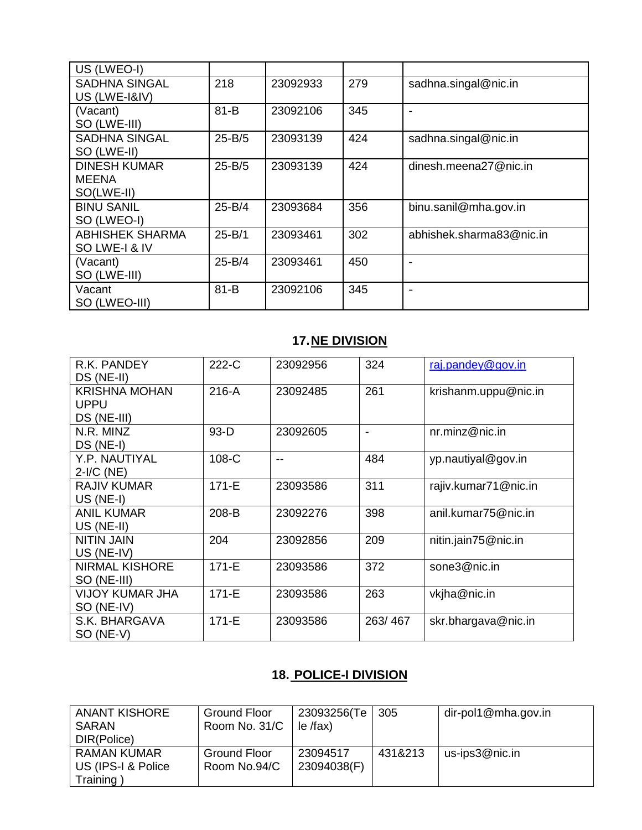| US (LWEO-I)                                       |            |          |     |                          |
|---------------------------------------------------|------------|----------|-----|--------------------------|
| <b>SADHNA SINGAL</b><br>US (LWE-I&IV)             | 218        | 23092933 | 279 | sadhna.singal@nic.in     |
| (Vacant)<br>SO (LWE-III)                          | $81 - B$   | 23092106 | 345 |                          |
| <b>SADHNA SINGAL</b><br>SO (LWE-II)               | $25 - B/5$ | 23093139 | 424 | sadhna.singal@nic.in     |
| <b>DINESH KUMAR</b><br><b>MEENA</b><br>SO(LWE-II) | 25-B/5     | 23093139 | 424 | dinesh.meena27@nic.in    |
| <b>BINU SANIL</b><br>SO (LWEO-I)                  | $25 - B/4$ | 23093684 | 356 | binu.sanil@mha.gov.in    |
| <b>ABHISHEK SHARMA</b><br>SO LWE-I & IV           | $25 - B/1$ | 23093461 | 302 | abhishek.sharma83@nic.in |
| (Vacant)<br>SO (LWE-III)                          | 25-B/4     | 23093461 | 450 |                          |
| Vacant<br>SO (LWEO-III)                           | $81 - B$   | 23092106 | 345 |                          |

# **17.NE DIVISION**

| R.K. PANDEY<br>DS (NE-II)            | 222-C     | 23092956 | 324     | raj.pandey@gov.in    |
|--------------------------------------|-----------|----------|---------|----------------------|
| <b>KRISHNA MOHAN</b><br>UPPU         | $216-A$   | 23092485 | 261     | krishanm.uppu@nic.in |
| DS (NE-III)                          |           |          |         |                      |
| N.R. MINZ<br>DS (NE-I)               | $93-D$    | 23092605 |         | nr.minz@nic.in       |
| Y.P. NAUTIYAL<br>$2-I/C$ (NE)        | 108-C     | $- -$    | 484     | yp.nautiyal@gov.in   |
| <b>RAJIV KUMAR</b><br>$US (NE-I)$    | $171 - E$ | 23093586 | 311     | rajiv.kumar71@nic.in |
| ANIL KUMAR<br>US (NE-II)             | 208-B     | 23092276 | 398     | anil.kumar75@nic.in  |
| <b>NITIN JAIN</b><br>US (NE-IV)      | 204       | 23092856 | 209     | nitin.jain75@nic.in  |
| <b>NIRMAL KISHORE</b><br>SO (NE-III) | $171 - E$ | 23093586 | 372     | sone3@nic.in         |
| VIJOY KUMAR JHA<br>SO (NE-IV)        | $171 - E$ | 23093586 | 263     | vkjha@nic.in         |
| S.K. BHARGAVA<br>SO (NE-V)           | $171 - E$ | 23093586 | 263/467 | skr.bhargava@nic.in  |

# **18. POLICE-I DIVISION**

| <b>ANANT KISHORE</b><br>SARAN<br>DIR(Police)   | Ground Floor<br>Room No. 31/C | 23093256(Te<br>$le$ /fax) | 305     | dir-pol1@mha.gov.in |
|------------------------------------------------|-------------------------------|---------------------------|---------|---------------------|
| RAMAN KUMAR<br>US (IPS-I & Police<br>Training) | Ground Floor<br>Room No.94/C  | 23094517<br>23094038(F)   | 431&213 | us-ips3@nic.in      |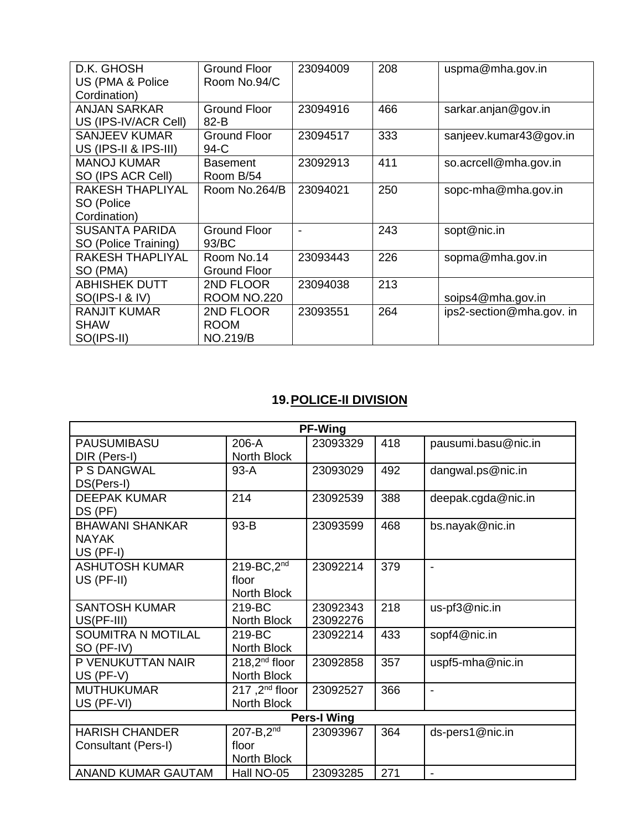| D.K. GHOSH            | <b>Ground Floor</b> | 23094009 | 208 | uspma@mha.gov.in         |
|-----------------------|---------------------|----------|-----|--------------------------|
| US (PMA & Police      | Room No.94/C        |          |     |                          |
| Cordination)          |                     |          |     |                          |
| <b>ANJAN SARKAR</b>   | <b>Ground Floor</b> | 23094916 | 466 | sarkar.anjan@gov.in      |
| US (IPS-IV/ACR Cell)  | $82 - B$            |          |     |                          |
| <b>SANJEEV KUMAR</b>  | <b>Ground Floor</b> | 23094517 | 333 | sanjeev.kumar43@gov.in   |
| US (IPS-II & IPS-III) | 94-C                |          |     |                          |
| <b>MANOJ KUMAR</b>    | <b>Basement</b>     | 23092913 | 411 | so.acrcell@mha.gov.in    |
| SO (IPS ACR Cell)     | Room B/54           |          |     |                          |
| RAKESH THAPLIYAL      | Room No.264/B       | 23094021 | 250 | sopc-mha@mha.gov.in      |
| SO (Police            |                     |          |     |                          |
| Cordination)          |                     |          |     |                          |
| <b>SUSANTA PARIDA</b> | <b>Ground Floor</b> |          | 243 | sopt@nic.in              |
| SO (Police Training)  | 93/BC               |          |     |                          |
| RAKESH THAPLIYAL      | Room No.14          | 23093443 | 226 | sopma@mha.gov.in         |
| SO (PMA)              | <b>Ground Floor</b> |          |     |                          |
| <b>ABHISHEK DUTT</b>  | 2ND FLOOR           | 23094038 | 213 |                          |
| SO(IPS-I & IV)        | <b>ROOM NO.220</b>  |          |     | soips4@mha.gov.in        |
| <b>RANJIT KUMAR</b>   | 2ND FLOOR           | 23093551 | 264 | ips2-section@mha.gov. in |
| SHAW                  | <b>ROOM</b>         |          |     |                          |
| SO(IPS-II)            | <b>NO.219/B</b>     |          |     |                          |

# **19.POLICE-II DIVISION**

| <b>PF-Wing</b>            |                           |          |     |                          |  |  |  |  |
|---------------------------|---------------------------|----------|-----|--------------------------|--|--|--|--|
| <b>PAUSUMIBASU</b>        | 206-A                     | 23093329 | 418 | pausumi.basu@nic.in      |  |  |  |  |
| DIR (Pers-I)              | North Block               |          |     |                          |  |  |  |  |
| P S DANGWAL               | $93-A$                    | 23093029 | 492 | dangwal.ps@nic.in        |  |  |  |  |
| DS(Pers-I)                |                           |          |     |                          |  |  |  |  |
| <b>DEEPAK KUMAR</b>       | 214                       | 23092539 | 388 | deepak.cgda@nic.in       |  |  |  |  |
| DS (PF)                   |                           |          |     |                          |  |  |  |  |
| <b>BHAWANI SHANKAR</b>    | 93-B                      | 23093599 | 468 | bs.nayak@nic.in          |  |  |  |  |
| <b>NAYAK</b>              |                           |          |     |                          |  |  |  |  |
| $US$ (PF-I)               |                           |          |     |                          |  |  |  |  |
| <b>ASHUTOSH KUMAR</b>     | $219$ -BC, $2nd$          | 23092214 | 379 | $\overline{\phantom{a}}$ |  |  |  |  |
| US (PF-II)                | floor                     |          |     |                          |  |  |  |  |
|                           | North Block               |          |     |                          |  |  |  |  |
| <b>SANTOSH KUMAR</b>      | 219-BC                    | 23092343 | 218 | us-pf3@nic.in            |  |  |  |  |
| $US(PF-III)$              | North Block               | 23092276 |     |                          |  |  |  |  |
| <b>SOUMITRA N MOTILAL</b> | 219-BC                    | 23092214 | 433 | sopf4@nic.in             |  |  |  |  |
| SO (PF-IV)                | North Block               |          |     |                          |  |  |  |  |
| P VENUKUTTAN NAIR         | $218,2^{nd}$ floor        | 23092858 | 357 | uspf5-mha@nic.in         |  |  |  |  |
| US (PF-V)                 | North Block               |          |     |                          |  |  |  |  |
| <b>MUTHUKUMAR</b>         | 217,2 <sup>nd</sup> floor | 23092527 | 366 | $\blacksquare$           |  |  |  |  |
| US (PF-VI)                | North Block               |          |     |                          |  |  |  |  |
| <b>Pers-I Wing</b>        |                           |          |     |                          |  |  |  |  |
| <b>HARISH CHANDER</b>     | $207 - B$ , $2^{nd}$      | 23093967 | 364 | ds-pers1@nic.in          |  |  |  |  |
| Consultant (Pers-I)       | floor                     |          |     |                          |  |  |  |  |
|                           | North Block               |          |     |                          |  |  |  |  |
| ANAND KUMAR GAUTAM        | Hall NO-05                | 23093285 | 271 |                          |  |  |  |  |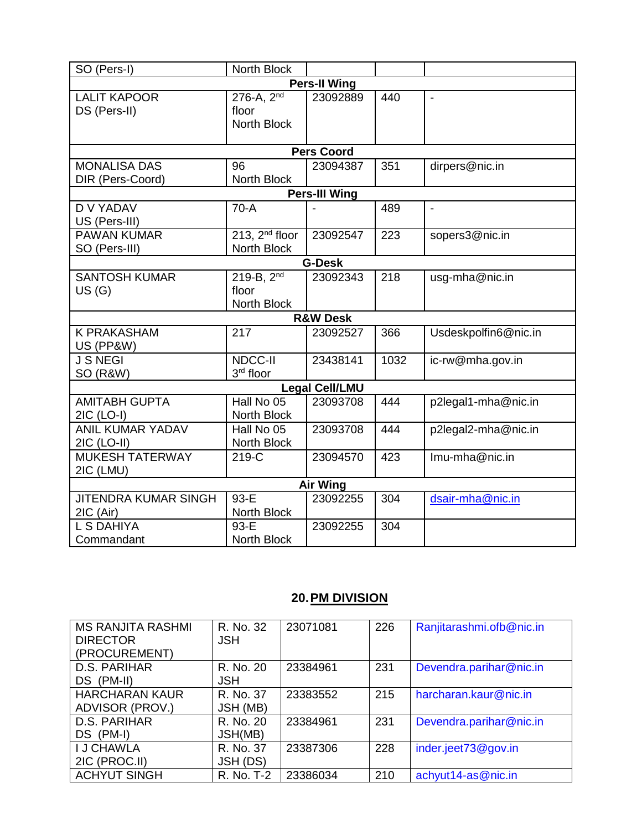| SO (Pers-I)                              | North Block                                         |                       |      |                      |  |  |  |  |  |
|------------------------------------------|-----------------------------------------------------|-----------------------|------|----------------------|--|--|--|--|--|
| <b>Pers-II Wing</b>                      |                                                     |                       |      |                      |  |  |  |  |  |
| <b>LALIT KAPOOR</b><br>DS (Pers-II)      | $276 - A$ , $2^{nd}$<br>floor<br><b>North Block</b> | 23092889              | 440  |                      |  |  |  |  |  |
|                                          |                                                     | <b>Pers Coord</b>     |      |                      |  |  |  |  |  |
| <b>MONALISA DAS</b><br>DIR (Pers-Coord)  | 96<br>North Block                                   | 23094387              | 351  | dirpers@nic.in       |  |  |  |  |  |
|                                          |                                                     | <b>Pers-III Wing</b>  |      |                      |  |  |  |  |  |
| <b>D V YADAV</b><br>US (Pers-III)        | $70-A$                                              |                       | 489  | $\overline{a}$       |  |  |  |  |  |
| <b>PAWAN KUMAR</b><br>SO (Pers-III)      | 213, $2nd$ floor<br>North Block                     | 23092547              | 223  | sopers3@nic.in       |  |  |  |  |  |
|                                          |                                                     | <b>G-Desk</b>         |      |                      |  |  |  |  |  |
| <b>SANTOSH KUMAR</b><br>US(G)            | $219 - B$ , $2nd$<br>floor<br>North Block           | 23092343              | 218  | usg-mha@nic.in       |  |  |  |  |  |
|                                          |                                                     | <b>R&amp;W Desk</b>   |      |                      |  |  |  |  |  |
| <b>K PRAKASHAM</b><br>US (PP&W)          | 217                                                 | 23092527              | 366  | Usdeskpolfin6@nic.in |  |  |  |  |  |
| <b>J S NEGI</b><br>SO (R&W)              | <b>NDCC-II</b><br>3rd floor                         | 23438141              | 1032 | ic-rw@mha.gov.in     |  |  |  |  |  |
|                                          |                                                     | <b>Legal Cell/LMU</b> |      |                      |  |  |  |  |  |
| <b>AMITABH GUPTA</b><br>2IC (LO-I)       | Hall No 05<br>North Block                           | 23093708              | 444  | p2legal1-mha@nic.in  |  |  |  |  |  |
| <b>ANIL KUMAR YADAV</b><br>2IC (LO-II)   | Hall No 05<br>North Block                           | 23093708              | 444  | p2legal2-mha@nic.in  |  |  |  |  |  |
| <b>MUKESH TATERWAY</b><br>2IC (LMU)      | 219-C                                               | 23094570              | 423  | Imu-mha@nic.in       |  |  |  |  |  |
| <b>Air Wing</b>                          |                                                     |                       |      |                      |  |  |  |  |  |
| <b>JITENDRA KUMAR SINGH</b><br>2IC (Air) | $93-E$<br>North Block                               | 23092255              | 304  | dsair-mha@nic.in     |  |  |  |  |  |
| L S DAHIYA<br>Commandant                 | 93-E<br>North Block                                 | 23092255              | 304  |                      |  |  |  |  |  |

## **20.PM DIVISION**

| <b>MS RANJITA RASHMI</b><br><b>DIRECTOR</b><br>(PROCUREMENT) | R. No. 32<br><b>JSH</b>      | 23071081 | 226 | Ranjitarashmi.ofb@nic.in |
|--------------------------------------------------------------|------------------------------|----------|-----|--------------------------|
| D.S. PARIHAR<br>DS (PM-II)                                   | R. No. 20<br><b>JSH</b>      | 23384961 | 231 | Devendra.parihar@nic.in  |
| <b>HARCHARAN KAUR</b><br>ADVISOR (PROV.)                     | R. No. 37<br>JSH (MB)        | 23383552 | 215 | harcharan.kaur@nic.in    |
| D.S. PARIHAR<br>DS (PM-I)                                    | R. No. 20<br>JSH(MB)         | 23384961 | 231 | Devendra.parihar@nic.in  |
| <b>I J CHAWLA</b><br>2IC (PROC.II)                           | R. No. 37<br><b>JSH (DS)</b> | 23387306 | 228 | inder.jeet73@gov.in      |
| <b>ACHYUT SINGH</b>                                          | R. No. T-2                   | 23386034 | 210 | achyut14-as@nic.in       |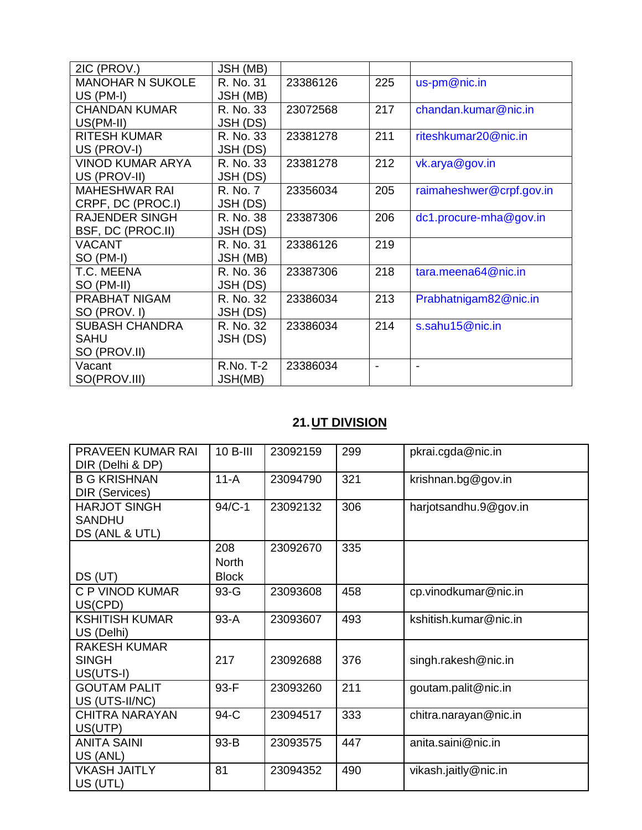| 2IC (PROV.)             | JSH (MB)  |          |     |                          |
|-------------------------|-----------|----------|-----|--------------------------|
| <b>MANOHAR N SUKOLE</b> | R. No. 31 | 23386126 | 225 | us-pm@nic.in             |
| $US$ (PM-I)             | JSH (MB)  |          |     |                          |
| <b>CHANDAN KUMAR</b>    | R. No. 33 | 23072568 | 217 | chandan.kumar@nic.in     |
| US(PM-II)               | JSH (DS)  |          |     |                          |
| <b>RITESH KUMAR</b>     | R. No. 33 | 23381278 | 211 | riteshkumar20@nic.in     |
| US (PROV-I)             | JSH (DS)  |          |     |                          |
| <b>VINOD KUMAR ARYA</b> | R. No. 33 | 23381278 | 212 | vk.arya@gov.in           |
| US (PROV-II)            | JSH (DS)  |          |     |                          |
| <b>MAHESHWAR RAI</b>    | R. No. 7  | 23356034 | 205 | raimaheshwer@crpf.gov.in |
| CRPF, DC (PROC.I)       | JSH (DS)  |          |     |                          |
| <b>RAJENDER SINGH</b>   | R. No. 38 | 23387306 | 206 | dc1.procure-mha@gov.in   |
| BSF, DC (PROC.II)       | JSH (DS)  |          |     |                          |
| <b>VACANT</b>           | R. No. 31 | 23386126 | 219 |                          |
| SO (PM-I)               | JSH (MB)  |          |     |                          |
| T.C. MEENA              | R. No. 36 | 23387306 | 218 | tara.meena64@nic.in      |
| SO (PM-II)              | JSH (DS)  |          |     |                          |
| PRABHAT NIGAM           | R. No. 32 | 23386034 | 213 | Prabhatnigam82@nic.in    |
| SO (PROV. I)            | JSH (DS)  |          |     |                          |
| <b>SUBASH CHANDRA</b>   | R. No. 32 | 23386034 | 214 | s.sahu15@nic.in          |
| <b>SAHU</b>             | JSH (DS)  |          |     |                          |
| SO (PROV.II)            |           |          |     |                          |
| Vacant                  | R.No. T-2 | 23386034 |     |                          |
| SO(PROV.III)            | JSH(MB)   |          |     |                          |

# **21.UT DIVISION**

| <b>PRAVEEN KUMAR RAI</b> | $10B-III$    | 23092159 | 299 | pkrai.cgda@nic.in     |
|--------------------------|--------------|----------|-----|-----------------------|
| DIR (Delhi & DP)         |              |          |     |                       |
| <b>B G KRISHNAN</b>      | $11-A$       | 23094790 | 321 | krishnan.bg@gov.in    |
| DIR (Services)           |              |          |     |                       |
| <b>HARJOT SINGH</b>      | 94/C-1       | 23092132 | 306 | harjotsandhu.9@gov.in |
| <b>SANDHU</b>            |              |          |     |                       |
| DS (ANL & UTL)           |              |          |     |                       |
|                          | 208          | 23092670 | 335 |                       |
|                          | <b>North</b> |          |     |                       |
| DS (UT)                  | <b>Block</b> |          |     |                       |
| C P VINOD KUMAR          | $93-G$       | 23093608 | 458 | cp.vinodkumar@nic.in  |
| US(CPD)                  |              |          |     |                       |
| <b>KSHITISH KUMAR</b>    | 93-A         | 23093607 | 493 | kshitish.kumar@nic.in |
| US (Delhi)               |              |          |     |                       |
| <b>RAKESH KUMAR</b>      |              |          |     |                       |
| <b>SINGH</b>             | 217          | 23092688 | 376 | singh.rakesh@nic.in   |
| US(UTS-I)                |              |          |     |                       |
| <b>GOUTAM PALIT</b>      | 93-F         | 23093260 | 211 | goutam.palit@nic.in   |
| US (UTS-II/NC)           |              |          |     |                       |
| <b>CHITRA NARAYAN</b>    | 94-C         | 23094517 | 333 | chitra.narayan@nic.in |
| US(UTP)                  |              |          |     |                       |
| <b>ANITA SAINI</b>       | 93-B         | 23093575 | 447 | anita.saini@nic.in    |
| US (ANL)                 |              |          |     |                       |
| <b>VKASH JAITLY</b>      | 81           | 23094352 | 490 | vikash.jaitly@nic.in  |
| US (UTL)                 |              |          |     |                       |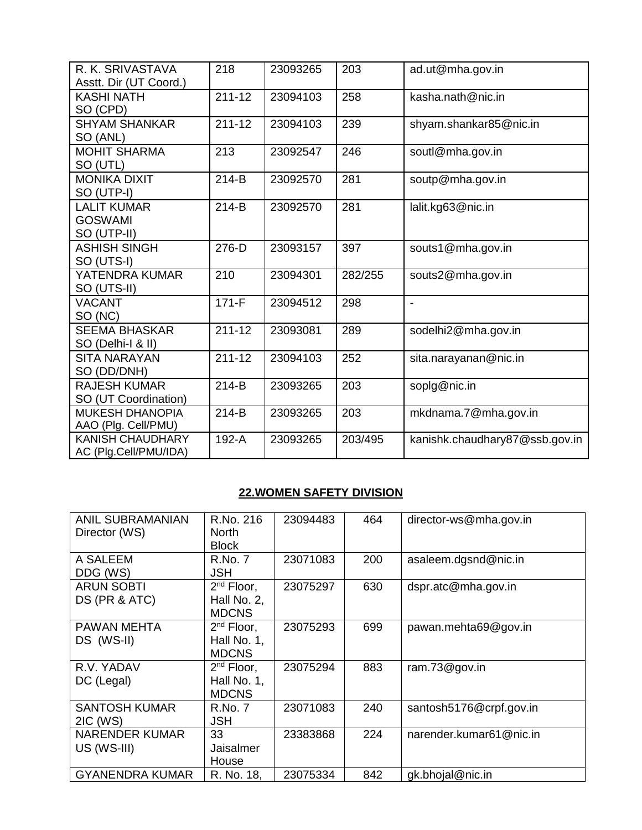| R. K. SRIVASTAVA<br>Asstt. Dir (UT Coord.)          | 218        | 23093265 | 203     | ad.ut@mha.gov.in               |
|-----------------------------------------------------|------------|----------|---------|--------------------------------|
| <b>KASHI NATH</b><br>SO (CPD)                       | $211 - 12$ | 23094103 | 258     | kasha.nath@nic.in              |
| <b>SHYAM SHANKAR</b><br>SO (ANL)                    | $211 - 12$ | 23094103 | 239     | shyam.shankar85@nic.in         |
| <b>MOHIT SHARMA</b><br>SO (UTL)                     | 213        | 23092547 | 246     | soutl@mha.gov.in               |
| <b>MONIKA DIXIT</b><br>SO (UTP-I)                   | $214-B$    | 23092570 | 281     | soutp@mha.gov.in               |
| <b>LALIT KUMAR</b><br><b>GOSWAMI</b><br>SO (UTP-II) | $214-B$    | 23092570 | 281     | lalit.kg63@nic.in              |
| <b>ASHISH SINGH</b><br>SO (UTS-I)                   | 276-D      | 23093157 | 397     | souts1@mha.gov.in              |
| YATENDRA KUMAR<br>SO (UTS-II)                       | 210        | 23094301 | 282/255 | souts2@mha.gov.in              |
| <b>VACANT</b><br>SO (NC)                            | $171-F$    | 23094512 | 298     | $\blacksquare$                 |
| <b>SEEMA BHASKAR</b><br>SO (Delhi-I & II)           | $211 - 12$ | 23093081 | 289     | sodelhi2@mha.gov.in            |
| <b>SITA NARAYAN</b><br>SO (DD/DNH)                  | $211 - 12$ | 23094103 | 252     | sita.narayanan@nic.in          |
| <b>RAJESH KUMAR</b><br>SO (UT Coordination)         | $214-B$    | 23093265 | 203     | soplg@nic.in                   |
| <b>MUKESH DHANOPIA</b><br>AAO (Plg. Cell/PMU)       | $214-B$    | 23093265 | 203     | mkdnama.7@mha.gov.in           |
| <b>KANISH CHAUDHARY</b><br>AC (Plg.Cell/PMU/IDA)    | 192-A      | 23093265 | 203/495 | kanishk.chaudhary87@ssb.gov.in |

## **22.WOMEN SAFETY DIVISION**

| <b>ANIL SUBRAMANIAN</b><br>Director (WS) | R.No. 216<br><b>North</b><br><b>Block</b>      | 23094483 | 464 | director-ws@mha.gov.in  |
|------------------------------------------|------------------------------------------------|----------|-----|-------------------------|
| A SALEEM<br>DDG (WS)                     | R.No. 7<br>JSH.                                | 23071083 | 200 | asaleem.dgsnd@nic.in    |
| <b>ARUN SOBTI</b><br>DS (PR & ATC)       | $2nd$ Floor,<br>Hall No. 2,<br><b>MDCNS</b>    | 23075297 | 630 | dspr.atc@mha.gov.in     |
| <b>PAWAN MEHTA</b><br>DS (WS-II)         | $2^{nd}$ Floor,<br>Hall No. 1,<br><b>MDCNS</b> | 23075293 | 699 | pawan.mehta69@gov.in    |
| R.V. YADAV<br>DC (Legal)                 | $2nd$ Floor,<br>Hall No. 1,<br><b>MDCNS</b>    | 23075294 | 883 | ram.73@gov.in           |
| <b>SANTOSH KUMAR</b><br>2IC (WS)         | R.No. 7<br><b>JSH</b>                          | 23071083 | 240 | santosh5176@crpf.gov.in |
| <b>NARENDER KUMAR</b><br>US (WS-III)     | 33<br>Jaisalmer<br>House                       | 23383868 | 224 | narender.kumar61@nic.in |
| <b>GYANENDRA KUMAR</b>                   | R. No. 18,                                     | 23075334 | 842 | gk.bhojal@nic.in        |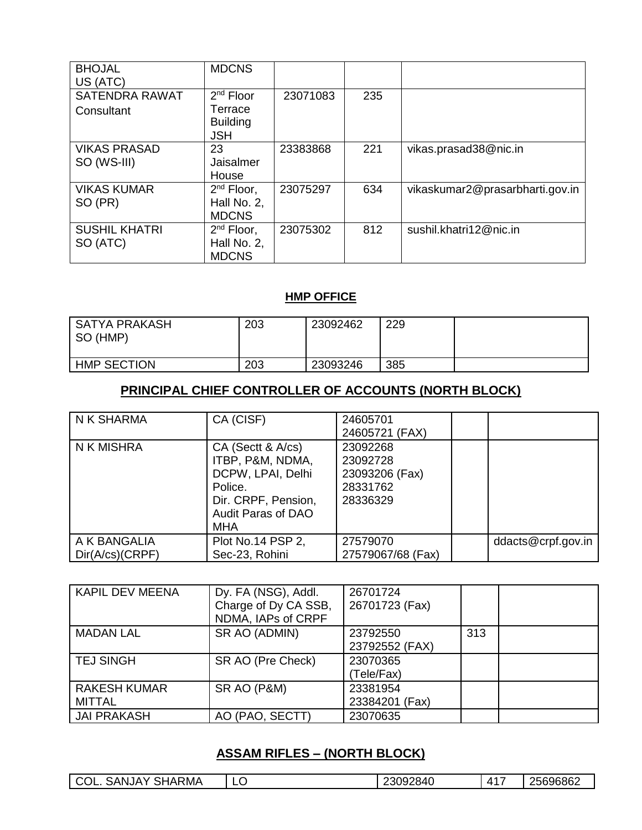| <b>BHOJAL</b><br>US (ATC)           | <b>MDCNS</b>                                   |          |     |                                 |
|-------------------------------------|------------------------------------------------|----------|-----|---------------------------------|
| <b>SATENDRA RAWAT</b><br>Consultant | $2nd$ Floor<br>Terrace<br><b>Building</b>      | 23071083 | 235 |                                 |
| <b>VIKAS PRASAD</b><br>SO (WS-III)  | <b>JSH</b><br>23<br>Jaisalmer<br>House         | 23383868 | 221 | vikas.prasad38@nic.in           |
| <b>VIKAS KUMAR</b><br>SO (PR)       | $2^{nd}$ Floor,<br>Hall No. 2,<br><b>MDCNS</b> | 23075297 | 634 | vikaskumar2@prasarbharti.gov.in |
| <b>SUSHIL KHATRI</b><br>SO (ATC)    | $2nd$ Floor,<br>Hall No. 2,<br><b>MDCNS</b>    | 23075302 | 812 | sushil.khatri12@nic.in          |

### **HMP OFFICE**

| I SATYA PRAKASH<br>SO (HMP) | 203 | 23092462 | 229 |  |
|-----------------------------|-----|----------|-----|--|
| <b>HMP SECTION</b>          | 203 | 23093246 | 385 |  |

# **PRINCIPAL CHIEF CONTROLLER OF ACCOUNTS (NORTH BLOCK)**

| N K SHARMA                      | CA (CISF)                                                                                                                 | 24605701<br>24605721 (FAX)                                     |                    |
|---------------------------------|---------------------------------------------------------------------------------------------------------------------------|----------------------------------------------------------------|--------------------|
| N K MISHRA                      | CA (Sectt & A/cs)<br>ITBP, P&M, NDMA,<br>DCPW, LPAI, Delhi<br>Police.<br>Dir. CRPF, Pension,<br>Audit Paras of DAO<br>MHA | 23092268<br>23092728<br>23093206 (Fax)<br>28331762<br>28336329 |                    |
| A K BANGALIA<br>Dir(A/cs)(CRPF) | Plot No.14 PSP 2,<br>Sec-23, Rohini                                                                                       | 27579070<br>27579067/68 (Fax)                                  | ddacts@crpf.gov.in |

| <b>KAPIL DEV MEENA</b>               | Dy. FA (NSG), Addl.<br>Charge of Dy CA SSB,<br>NDMA, IAPs of CRPF | 26701724<br>26701723 (Fax) |     |  |
|--------------------------------------|-------------------------------------------------------------------|----------------------------|-----|--|
| <b>MADAN LAL</b>                     | SR AO (ADMIN)                                                     | 23792550<br>23792552 (FAX) | 313 |  |
| <b>TEJ SINGH</b>                     | SR AO (Pre Check)                                                 | 23070365<br>(Tele/Fax)     |     |  |
| <b>RAKESH KUMAR</b><br><b>MITTAL</b> | SR AO (P&M)                                                       | 23381954<br>23384201 (Fax) |     |  |
| <b>JAI PRAKASH</b>                   | AO (PAO, SECTT)                                                   | 23070635                   |     |  |

## **ASSAM RIFLES – (NORTH BLOCK)**

| RMA<br>$\bigcirc$ OL.<br>SANJA'<br>.<br>HAR<br>ல | -<br>∽ | 23092840 | $A^{4-}$ | 25696862 |
|--------------------------------------------------|--------|----------|----------|----------|
|--------------------------------------------------|--------|----------|----------|----------|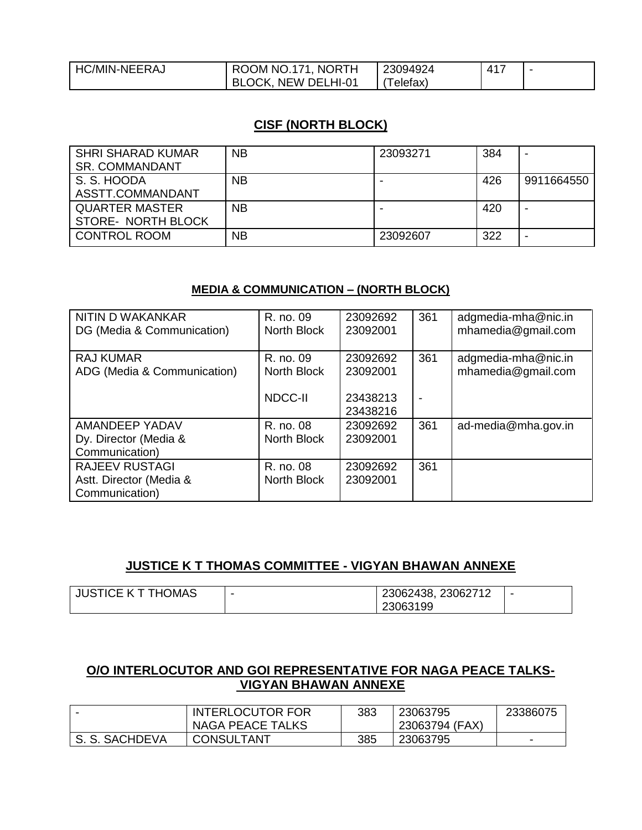| C/MIN-NEERAJ | <b>NORTH</b><br>JM NO.171.<br>$\mathbf{r}$ | <b>094924</b> | 117<br>⊷ |  |
|--------------|--------------------------------------------|---------------|----------|--|
|              | <b>_HI-01</b><br>NFW DFI<br>M              | eletax        |          |  |

### **CISF (NORTH BLOCK)**

| SHRI SHARAD KUMAR<br><b>SR. COMMANDANT</b>         | <b>NB</b> | 23093271 | 384 |            |
|----------------------------------------------------|-----------|----------|-----|------------|
| S. S. HOODA<br>ASSTT.COMMANDANT                    | <b>NB</b> |          | 426 | 9911664550 |
| <b>QUARTER MASTER</b><br><b>STORE- NORTH BLOCK</b> | <b>NB</b> |          | 420 |            |
| <b>CONTROL ROOM</b>                                | <b>NB</b> | 23092607 | 322 |            |

#### **MEDIA & COMMUNICATION – (NORTH BLOCK)**

| NITIN D WAKANKAR<br>DG (Media & Communication)                     | R. no. 09<br>North Block                   | 23092692<br>23092001                         | 361      | adgmedia-mha@nic.in<br>mhamedia@gmail.com |
|--------------------------------------------------------------------|--------------------------------------------|----------------------------------------------|----------|-------------------------------------------|
| <b>RAJ KUMAR</b><br>ADG (Media & Communication)                    | R. no. 09<br>North Block<br><b>NDCC-II</b> | 23092692<br>23092001<br>23438213<br>23438216 | 361<br>٠ | adgmedia-mha@nic.in<br>mhamedia@gmail.com |
| AMANDEEP YADAV<br>Dy. Director (Media &<br>Communication)          | R. no. 08<br>North Block                   | 23092692<br>23092001                         | 361      | ad-media@mha.gov.in                       |
| <b>RAJEEV RUSTAGI</b><br>Astt. Director (Media &<br>Communication) | R. no. 08<br>North Block                   | 23092692<br>23092001                         | 361      |                                           |

## **JUSTICE K T THOMAS COMMITTEE - VIGYAN BHAWAN ANNEXE**

| <b>JUSTICE K T THOMAS</b> | $\overline{\phantom{0}}$ | 23062438, 23062712 | - |
|---------------------------|--------------------------|--------------------|---|
|                           |                          | 23063199           |   |

#### **O/O INTERLOCUTOR AND GOI REPRESENTATIVE FOR NAGA PEACE TALKS-VIGYAN BHAWAN ANNEXE**

|                | <b>INTERLOCUTOR FOR</b><br><b>NAGA PEACE TALKS</b> | 383 | 23063795<br>23063794 (FAX) | 23386075 |
|----------------|----------------------------------------------------|-----|----------------------------|----------|
| S. S. SACHDEVA | CONSULTANT                                         | 385 | 23063795                   | -        |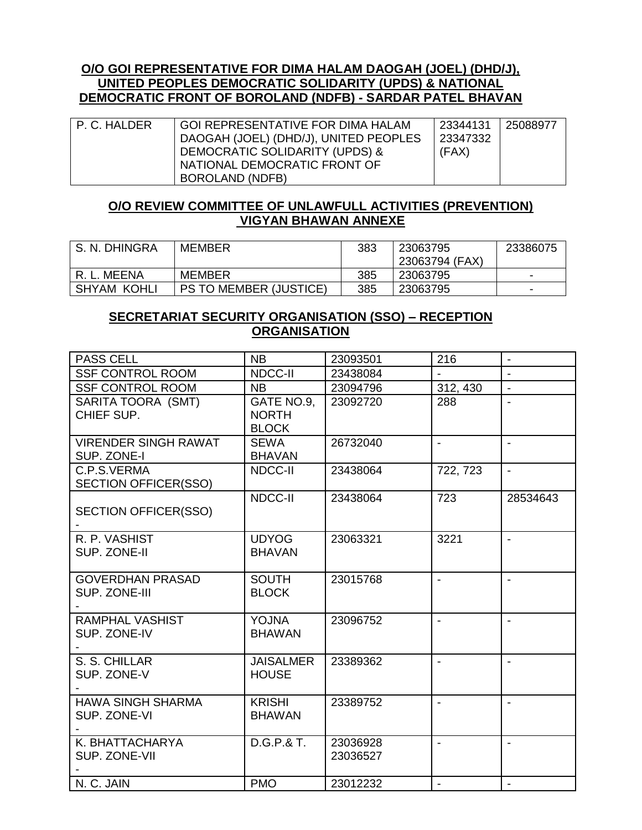#### **O/O GOI REPRESENTATIVE FOR DIMA HALAM DAOGAH (JOEL) (DHD/J), UNITED PEOPLES DEMOCRATIC SOLIDARITY (UPDS) & NATIONAL DEMOCRATIC FRONT OF BOROLAND (NDFB) - SARDAR PATEL BHAVAN**

| P. C. HALDER | GOI REPRESENTATIVE FOR DIMA HALAM     | 23344131 | 25088977 |
|--------------|---------------------------------------|----------|----------|
|              | DAOGAH (JOEL) (DHD/J), UNITED PEOPLES | 23347332 |          |
|              | DEMOCRATIC SOLIDARITY (UPDS) &        | (FAX)    |          |
|              | NATIONAL DEMOCRATIC FRONT OF          |          |          |
|              | BOROLAND (NDFB)                       |          |          |

#### **O/O REVIEW COMMITTEE OF UNLAWFULL ACTIVITIES (PREVENTION) VIGYAN BHAWAN ANNEXE**

| S. N. DHINGRA      | MEMBER                        | 383 | 23063795       | 23386075 |
|--------------------|-------------------------------|-----|----------------|----------|
|                    |                               |     | 23063794 (FAX) |          |
| MEENA              | <b>MEMBER</b>                 | 385 | 23063795       | -        |
| <b>SHYAM KOHLI</b> | <b>PS TO MEMBER (JUSTICE)</b> | 385 | 23063795       | -        |

#### **SECRETARIAT SECURITY ORGANISATION (SSO) – RECEPTION ORGANISATION**

| <b>PASS CELL</b>                           | <b>NB</b>                                  | 23093501             | 216                      | $\overline{\phantom{a}}$ |
|--------------------------------------------|--------------------------------------------|----------------------|--------------------------|--------------------------|
| <b>SSF CONTROL ROOM</b>                    | <b>NDCC-II</b>                             | 23438084             |                          |                          |
| <b>SSF CONTROL ROOM</b>                    | <b>NB</b>                                  | 23094796             | 312, 430                 | $\blacksquare$           |
| SARITA TOORA (SMT)<br>CHIEF SUP.           | GATE NO.9,<br><b>NORTH</b><br><b>BLOCK</b> | 23092720             | 288                      |                          |
| <b>VIRENDER SINGH RAWAT</b><br>SUP. ZONE-I | <b>SEWA</b><br><b>BHAVAN</b>               | 26732040             | $\blacksquare$           |                          |
| C.P.S.VERMA<br><b>SECTION OFFICER(SSO)</b> | NDCC-II                                    | 23438064             | 722, 723                 | $\blacksquare$           |
| <b>SECTION OFFICER(SSO)</b>                | NDCC-II                                    | 23438064             | 723                      | 28534643                 |
| R. P. VASHIST<br>SUP. ZONE-II              | <b>UDYOG</b><br><b>BHAVAN</b>              | 23063321             | 3221                     |                          |
| <b>GOVERDHAN PRASAD</b><br>SUP. ZONE-III   | <b>SOUTH</b><br><b>BLOCK</b>               | 23015768             | $\overline{a}$           |                          |
| <b>RAMPHAL VASHIST</b><br>SUP. ZONE-IV     | <b>YOJNA</b><br><b>BHAWAN</b>              | 23096752             | $\sim$                   |                          |
| S. S. CHILLAR<br>SUP. ZONE-V               | <b>JAISALMER</b><br><b>HOUSE</b>           | 23389362             | $\overline{a}$           |                          |
| <b>HAWA SINGH SHARMA</b><br>SUP. ZONE-VI   | <b>KRISHI</b><br><b>BHAWAN</b>             | 23389752             | $\blacksquare$           |                          |
| K. BHATTACHARYA<br>SUP. ZONE-VII           | D.G.P.& T.                                 | 23036928<br>23036527 | $\overline{\phantom{a}}$ |                          |
| N. C. JAIN                                 | <b>PMO</b>                                 | 23012232             | $\blacksquare$           | $\overline{a}$           |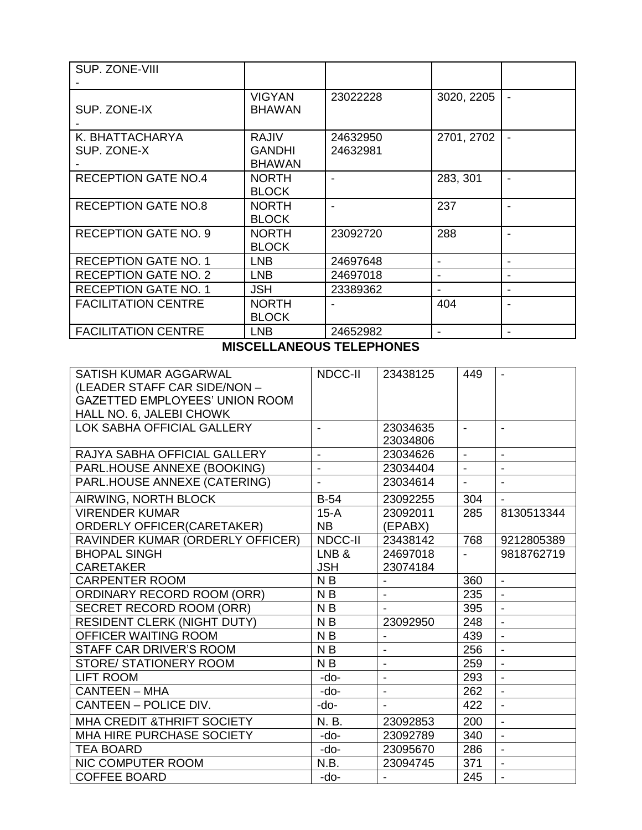| SUP. ZONE-VIII                 |                                                |                      |                |  |
|--------------------------------|------------------------------------------------|----------------------|----------------|--|
| SUP. ZONE-IX                   | <b>VIGYAN</b><br><b>BHAWAN</b>                 | 23022228             | 3020, 2205     |  |
| K. BHATTACHARYA<br>SUP. ZONE-X | <b>RAJIV</b><br><b>GANDHI</b><br><b>BHAWAN</b> | 24632950<br>24632981 | 2701, 2702     |  |
| <b>RECEPTION GATE NO.4</b>     | <b>NORTH</b><br><b>BLOCK</b>                   |                      | 283, 301       |  |
| <b>RECEPTION GATE NO.8</b>     | <b>NORTH</b><br><b>BLOCK</b>                   |                      | 237            |  |
| <b>RECEPTION GATE NO. 9</b>    | <b>NORTH</b><br><b>BLOCK</b>                   | 23092720             | 288            |  |
| <b>RECEPTION GATE NO. 1</b>    | <b>LNB</b>                                     | 24697648             | $\blacksquare$ |  |
| <b>RECEPTION GATE NO. 2</b>    | LNB.                                           | 24697018             | $\blacksquare$ |  |
| <b>RECEPTION GATE NO. 1</b>    | <b>JSH</b>                                     | 23389362             |                |  |
| <b>FACILITATION CENTRE</b>     | <b>NORTH</b><br><b>BLOCK</b>                   |                      | 404            |  |
| <b>FACILITATION CENTRE</b>     | <b>LNB</b>                                     | 24652982             |                |  |

#### **MISCELLANEOUS TELEPHONES**

| SATISH KUMAR AGGARWAL<br>(LEADER STAFF CAR SIDE/NON -<br><b>GAZETTED EMPLOYEES' UNION ROOM</b><br>HALL NO. 6, JALEBI CHOWK | NDCC-II             | 23438125                 | 449            |                          |
|----------------------------------------------------------------------------------------------------------------------------|---------------------|--------------------------|----------------|--------------------------|
| LOK SABHA OFFICIAL GALLERY                                                                                                 |                     | 23034635<br>23034806     | $\blacksquare$ |                          |
| RAJYA SABHA OFFICIAL GALLERY                                                                                               | $\overline{a}$      | 23034626                 | $\mathbf{r}$   | $\blacksquare$           |
| PARL.HOUSE ANNEXE (BOOKING)                                                                                                | $\blacksquare$      | 23034404                 | $\blacksquare$ | $\blacksquare$           |
| PARL.HOUSE ANNEXE (CATERING)                                                                                               |                     | 23034614                 | $\blacksquare$ |                          |
| AIRWING, NORTH BLOCK                                                                                                       | $B-54$              | 23092255                 | 304            |                          |
| <b>VIRENDER KUMAR</b><br><b>ORDERLY OFFICER(CARETAKER)</b>                                                                 | $15-A$<br><b>NB</b> | 23092011<br>(EPABX)      | 285            | 8130513344               |
| RAVINDER KUMAR (ORDERLY OFFICER)                                                                                           | NDCC-II             | 23438142                 | 768            | 9212805389               |
| <b>BHOPAL SINGH</b><br><b>CARETAKER</b>                                                                                    | LNB&<br><b>JSH</b>  | 24697018<br>23074184     | $\mathbf{r}$   | 9818762719               |
| <b>CARPENTER ROOM</b>                                                                                                      | N <sub>B</sub>      | $\overline{\phantom{a}}$ | 360            | $\overline{\phantom{a}}$ |
| <b>ORDINARY RECORD ROOM (ORR)</b>                                                                                          | N <sub>B</sub>      |                          | 235            | $\overline{a}$           |
| SECRET RECORD ROOM (ORR)                                                                                                   | N <sub>B</sub>      |                          | 395            | $\blacksquare$           |
| <b>RESIDENT CLERK (NIGHT DUTY)</b>                                                                                         | N <sub>B</sub>      | 23092950                 | 248            | $\overline{a}$           |
| OFFICER WAITING ROOM                                                                                                       | N <sub>B</sub>      | $\overline{\phantom{a}}$ | 439            | $\overline{\phantom{a}}$ |
| STAFF CAR DRIVER'S ROOM                                                                                                    | N <sub>B</sub>      |                          | 256            | $\blacksquare$           |
| STORE/ STATIONERY ROOM                                                                                                     | N <sub>B</sub>      | $\overline{\phantom{a}}$ | 259            | $\overline{\phantom{a}}$ |
| <b>LIFT ROOM</b>                                                                                                           | -do-                | $\blacksquare$           | 293            | $\blacksquare$           |
| <b>CANTEEN - MHA</b>                                                                                                       | -do-                | $\blacksquare$           | 262            | $\overline{a}$           |
| CANTEEN - POLICE DIV.                                                                                                      | -do-                | $\blacksquare$           | 422            | $\blacksquare$           |
| <b>MHA CREDIT &amp; THRIFT SOCIETY</b>                                                                                     | N. B.               | 23092853                 | 200            | $\blacksquare$           |
| MHA HIRE PURCHASE SOCIETY                                                                                                  | -do-                | 23092789                 | 340            | $\blacksquare$           |
| <b>TEA BOARD</b>                                                                                                           | -do-                | 23095670                 | 286            | $\blacksquare$           |
| NIC COMPUTER ROOM                                                                                                          | N.B.                | 23094745                 | 371            | $\blacksquare$           |
| <b>COFFEE BOARD</b>                                                                                                        | -do-                |                          | 245            |                          |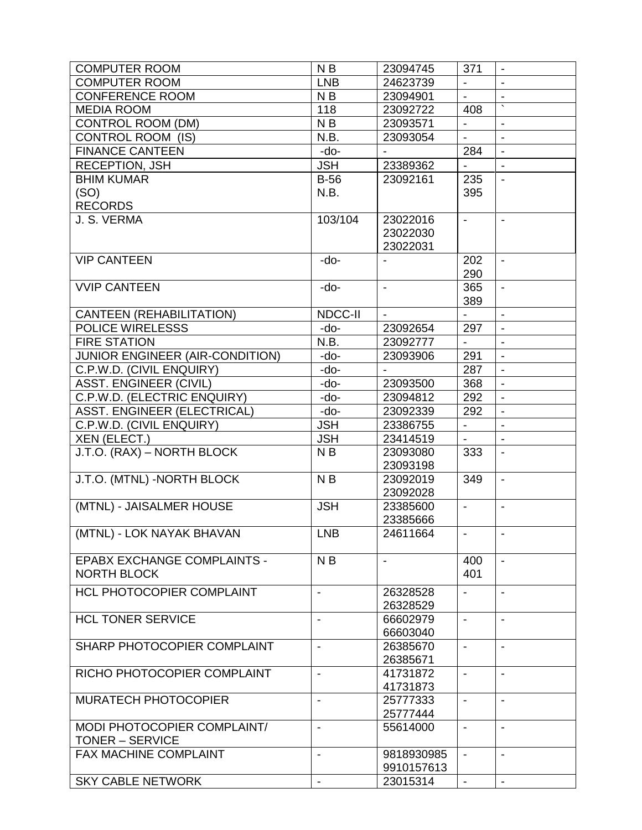| <b>COMPUTER ROOM</b>               | N <sub>B</sub>           | 23094745                 | 371                      | $\blacksquare$           |
|------------------------------------|--------------------------|--------------------------|--------------------------|--------------------------|
| <b>COMPUTER ROOM</b>               | <b>LNB</b>               | 24623739                 |                          | $\blacksquare$           |
| <b>CONFERENCE ROOM</b>             | N <sub>B</sub>           | 23094901                 | $\mathbf{r}$             |                          |
| <b>MEDIA ROOM</b>                  | 118                      | 23092722                 | 408                      |                          |
| <b>CONTROL ROOM (DM)</b>           | N <sub>B</sub>           | 23093571                 |                          | $\blacksquare$           |
| <b>CONTROL ROOM (IS)</b>           | N.B.                     | 23093054                 | $\overline{\phantom{a}}$ | $\blacksquare$           |
|                                    |                          |                          |                          |                          |
| <b>FINANCE CANTEEN</b>             | -do-                     |                          | 284                      | $\blacksquare$           |
| <b>RECEPTION, JSH</b>              | <b>JSH</b>               | 23389362                 |                          |                          |
| <b>BHIM KUMAR</b>                  | <b>B-56</b>              | 23092161                 | 235                      | $\overline{\phantom{a}}$ |
| (SO)                               | N.B.                     |                          | 395                      |                          |
| <b>RECORDS</b>                     |                          |                          |                          |                          |
| J. S. VERMA                        | 103/104                  | 23022016                 | $\blacksquare$           | $\blacksquare$           |
|                                    |                          | 23022030                 |                          |                          |
|                                    |                          | 23022031                 |                          |                          |
| <b>VIP CANTEEN</b>                 | -do-                     |                          | 202                      | $\blacksquare$           |
|                                    |                          |                          | 290                      |                          |
| <b>VVIP CANTEEN</b>                | -do-                     | $\overline{\phantom{a}}$ | 365                      | $\overline{\phantom{a}}$ |
|                                    |                          |                          | 389                      |                          |
| <b>CANTEEN (REHABILITATION)</b>    | <b>NDCC-II</b>           | $\blacksquare$           |                          | $\blacksquare$           |
| <b>POLICE WIRELESSS</b>            | -do-                     | 23092654                 | 297                      | $\blacksquare$           |
| <b>FIRE STATION</b>                | N.B.                     | 23092777                 |                          |                          |
| JUNIOR ENGINEER (AIR-CONDITION)    | -do-                     | 23093906                 | 291                      | $\blacksquare$           |
| C.P.W.D. (CIVIL ENQUIRY)           | -do-                     |                          | 287                      | $\overline{\phantom{a}}$ |
| <b>ASST. ENGINEER (CIVIL)</b>      | -do-                     | 23093500                 | 368                      | $\blacksquare$           |
|                                    |                          |                          | 292                      |                          |
| C.P.W.D. (ELECTRIC ENQUIRY)        | -do-                     | 23094812                 |                          | $\blacksquare$           |
| <b>ASST. ENGINEER (ELECTRICAL)</b> | -do-                     | 23092339                 | 292                      | $\overline{a}$           |
| C.P.W.D. (CIVIL ENQUIRY)           | <b>JSH</b>               | 23386755                 | $\blacksquare$           | $\blacksquare$           |
| XEN (ELECT.)                       | <b>JSH</b>               | 23414519                 |                          | $\overline{\phantom{a}}$ |
| J.T.O. (RAX) - NORTH BLOCK         | N <sub>B</sub>           | 23093080                 | 333                      | $\blacksquare$           |
|                                    |                          | 23093198                 |                          |                          |
| J.T.O. (MTNL) - NORTH BLOCK        | N <sub>B</sub>           | 23092019                 | 349                      | $\overline{a}$           |
|                                    |                          | 23092028                 |                          |                          |
| (MTNL) - JAISALMER HOUSE           | <b>JSH</b>               | 23385600                 | $\blacksquare$           | $\overline{\phantom{a}}$ |
|                                    |                          | 23385666                 |                          |                          |
| (MTNL) - LOK NAYAK BHAVAN          | <b>LNB</b>               | 24611664                 | $\blacksquare$           |                          |
|                                    |                          |                          |                          |                          |
| <b>EPABX EXCHANGE COMPLAINTS -</b> | N <sub>B</sub>           | $\blacksquare$           | 400                      | $\mathbf{r}$             |
| <b>NORTH BLOCK</b>                 |                          |                          | 401                      |                          |
| HCL PHOTOCOPIER COMPLAINT          | $\blacksquare$           | 26328528                 | $\blacksquare$           | $\blacksquare$           |
|                                    |                          | 26328529                 |                          |                          |
| <b>HCL TONER SERVICE</b>           |                          | 66602979                 | $\overline{\phantom{a}}$ |                          |
|                                    |                          | 66603040                 |                          |                          |
| SHARP PHOTOCOPIER COMPLAINT        |                          |                          |                          |                          |
|                                    | $\blacksquare$           | 26385670                 | $\overline{\phantom{a}}$ | $\blacksquare$           |
|                                    |                          | 26385671                 |                          |                          |
| RICHO PHOTOCOPIER COMPLAINT        | $\blacksquare$           | 41731872                 | $\overline{\phantom{a}}$ | $\blacksquare$           |
|                                    |                          | 41731873                 |                          |                          |
| <b>MURATECH PHOTOCOPIER</b>        |                          | 25777333                 | $\blacksquare$           |                          |
|                                    |                          | 25777444                 |                          |                          |
| MODI PHOTOCOPIER COMPLAINT/        | $\blacksquare$           | 55614000                 | $\overline{\phantom{a}}$ | $\blacksquare$           |
| <b>TONER – SERVICE</b>             |                          |                          |                          |                          |
| <b>FAX MACHINE COMPLAINT</b>       | $\overline{\phantom{a}}$ | 9818930985               | $\blacksquare$           | $\overline{\phantom{a}}$ |
|                                    |                          | 9910157613               |                          |                          |
| <b>SKY CABLE NETWORK</b>           | $\blacksquare$           | 23015314                 | $\blacksquare$           | $\overline{\phantom{a}}$ |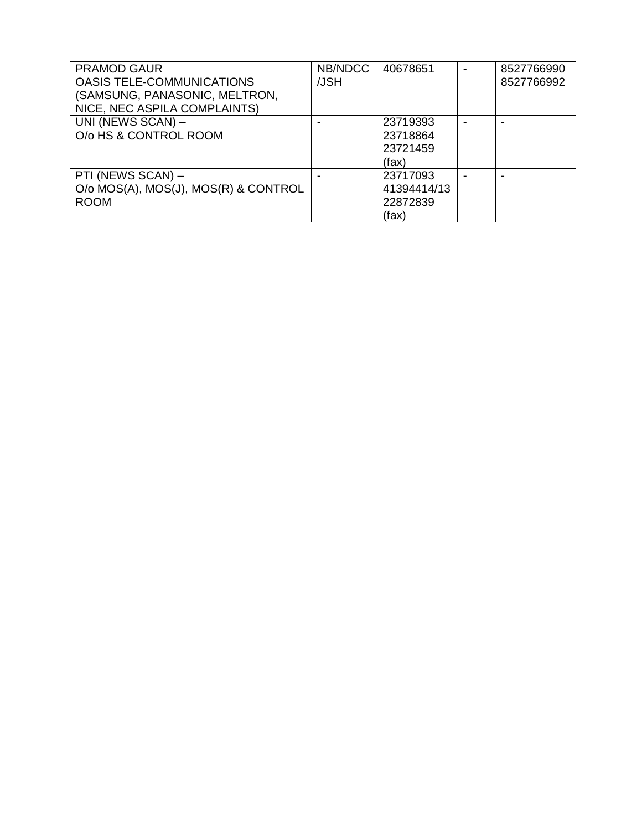| <b>PRAMOD GAUR</b>                   | NB/NDCC | 40678651    | 8527766990 |
|--------------------------------------|---------|-------------|------------|
| <b>OASIS TELE-COMMUNICATIONS</b>     | /JSH    |             | 8527766992 |
| (SAMSUNG, PANASONIC, MELTRON,        |         |             |            |
| NICE, NEC ASPILA COMPLAINTS)         |         |             |            |
| UNI (NEWS SCAN) -                    |         | 23719393    |            |
| O/o HS & CONTROL ROOM                |         | 23718864    |            |
|                                      |         | 23721459    |            |
|                                      |         | (fax)       |            |
| PTI (NEWS SCAN) -                    |         | 23717093    |            |
| O/o MOS(A), MOS(J), MOS(R) & CONTROL |         | 41394414/13 |            |
| <b>ROOM</b>                          |         | 22872839    |            |
|                                      |         | (fax)       |            |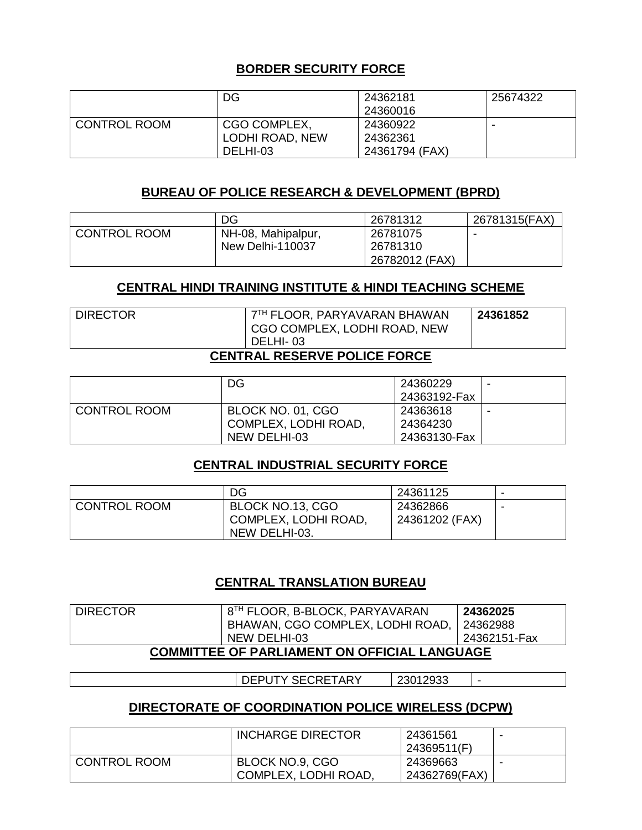## **BORDER SECURITY FORCE**

|                     | DG              | 24362181<br>24360016 | 25674322 |
|---------------------|-----------------|----------------------|----------|
| <b>CONTROL ROOM</b> | CGO COMPLEX,    | 24360922             | -        |
|                     | LODHI ROAD, NEW | 24362361             |          |
|                     | DELHI-03        | 24361794 (FAX)       |          |

#### **BUREAU OF POLICE RESEARCH & DEVELOPMENT (BPRD)**

|                     | DG                 | 26781312       | 26781315(FAX) |
|---------------------|--------------------|----------------|---------------|
| <b>CONTROL ROOM</b> | NH-08, Mahipalpur, | 26781075       |               |
|                     | New Delhi-110037   | 26781310       |               |
|                     |                    | 26782012 (FAX) |               |

#### **CENTRAL HINDI TRAINING INSTITUTE & HINDI TEACHING SCHEME**

| I DIRECTOR | 7TH FLOOR, PARYAVARAN BHAWAN            | 24361852 |  |  |
|------------|-----------------------------------------|----------|--|--|
|            | CGO COMPLEX, LODHI ROAD, NEW            |          |  |  |
|            | DELHI-03                                |          |  |  |
|            | ------ <i>---------------</i> --------- |          |  |  |

#### **CENTRAL RESERVE POLICE FORCE**

|                     | DG                   | 24360229     |  |
|---------------------|----------------------|--------------|--|
|                     |                      | 24363192-Fax |  |
| <b>CONTROL ROOM</b> | BLOCK NO. 01, CGO    | 24363618     |  |
|                     | COMPLEX, LODHI ROAD, | 24364230     |  |
|                     | NEW DELHI-03         | 24363130-Fax |  |

#### **CENTRAL INDUSTRIAL SECURITY FORCE**

|                     | DG                                         | 24361125       |  |
|---------------------|--------------------------------------------|----------------|--|
| <b>CONTROL ROOM</b> | BLOCK NO.13, CGO<br>' COMPLEX, LODHI ROAD, | 24362866       |  |
|                     | NEW DELHI-03.                              | 24361202 (FAX) |  |

#### **CENTRAL TRANSLATION BUREAU**

| <b>DIRECTOR</b>                                     | 8TH FLOOR, B-BLOCK, PARYAVARAN            | 24362025     |  |  |
|-----------------------------------------------------|-------------------------------------------|--------------|--|--|
|                                                     | BHAWAN, CGO COMPLEX, LODHI ROAD, 24362988 |              |  |  |
|                                                     | NEW DELHI-03                              | 24362151-Fax |  |  |
| <b>COMMITTEE OF PARLIAMENT ON OFFICIAL LANGUAGE</b> |                                           |              |  |  |
|                                                     |                                           |              |  |  |

DEPUTY SECRETARY 23012933 -

#### **DIRECTORATE OF COORDINATION POLICE WIRELESS (DCPW)**

|                     | <b>INCHARGE DIRECTOR</b> | 24361561      |  |
|---------------------|--------------------------|---------------|--|
|                     |                          | 24369511(F)   |  |
| <b>CONTROL ROOM</b> | BLOCK NO.9, CGO          | 24369663      |  |
|                     | COMPLEX, LODHI ROAD.     | 24362769(FAX) |  |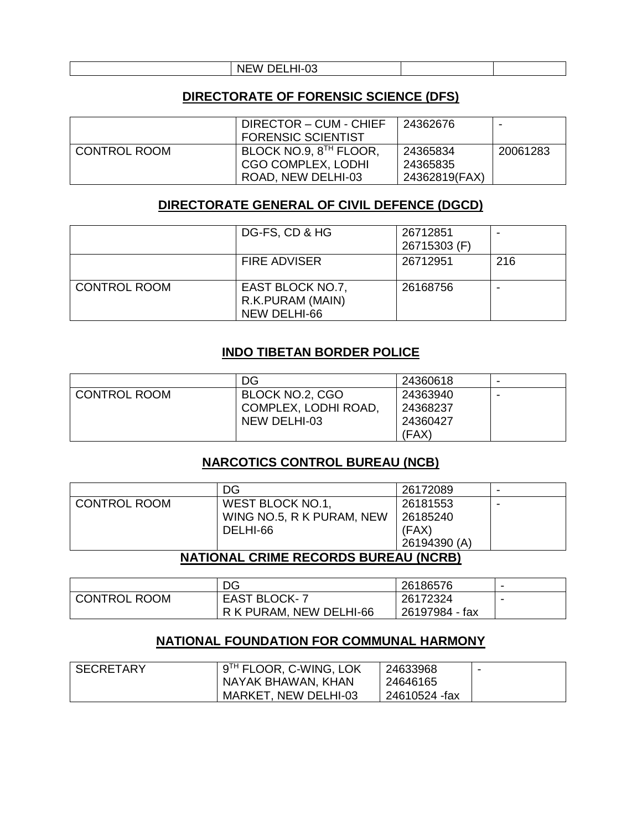#### NEW DELHI-03

#### **DIRECTORATE OF FORENSIC SCIENCE (DFS)**

|              | DIRECTOR - CUM - CHIEF             | 24362676      |          |
|--------------|------------------------------------|---------------|----------|
|              | <b>FORENSIC SCIENTIST</b>          |               |          |
| CONTROL ROOM | BLOCK NO.9, 8 <sup>TH</sup> FLOOR, | 24365834      | 20061283 |
|              | <b>CGO COMPLEX, LODHI</b>          | 24365835      |          |
|              | ROAD, NEW DELHI-03                 | 24362819(FAX) |          |

#### **DIRECTORATE GENERAL OF CIVIL DEFENCE (DGCD)**

|                     | DG-FS, CD & HG                                       | 26712851<br>26715303 (F) | ۰   |
|---------------------|------------------------------------------------------|--------------------------|-----|
|                     | <b>FIRE ADVISER</b>                                  | 26712951                 | 216 |
| <b>CONTROL ROOM</b> | EAST BLOCK NO.7,<br>R.K.PURAM (MAIN)<br>NEW DELHI-66 | 26168756                 | ۰   |

#### **INDO TIBETAN BORDER POLICE**

|                     | DG                   | 24360618 | -                        |
|---------------------|----------------------|----------|--------------------------|
| <b>CONTROL ROOM</b> | BLOCK NO.2, CGO      | 24363940 | $\overline{\phantom{0}}$ |
|                     | COMPLEX, LODHI ROAD, | 24368237 |                          |
|                     | NEW DELHI-03         | 24360427 |                          |
|                     |                      | (FAX)    |                          |

## **NARCOTICS CONTROL BUREAU (NCB)**

|                     | DG                                   | 26172089     | $\overline{\phantom{0}}$ |
|---------------------|--------------------------------------|--------------|--------------------------|
| <b>CONTROL ROOM</b> | WEST BLOCK NO.1.                     | 26181553     | $\overline{\phantom{0}}$ |
|                     | WING NO.5, R K PURAM, NEW            | 26185240     |                          |
|                     | DELHI-66                             | (FAX)        |                          |
|                     |                                      | 26194390 (A) |                          |
|                     | NATIONAL CRIME RECORDE RUREAU (NCRR) |              |                          |

#### **NATIONAL CRIME RECORDS BUREAU (NCRB)**

|                     | DG                      | 26186576       |  |
|---------------------|-------------------------|----------------|--|
| <b>CONTROL ROOM</b> | <b>EAST BLOCK-7</b>     | 26172324       |  |
|                     | R K PURAM, NEW DELHI-66 | 26197984 - fax |  |

#### **NATIONAL FOUNDATION FOR COMMUNAL HARMONY**

| <b>SECRETARY</b> | 9 <sup>TH</sup> FLOOR, C-WING, LOK | 24633968      |  |
|------------------|------------------------------------|---------------|--|
|                  | NAYAK BHAWAN, KHAN                 | 24646165      |  |
|                  | MARKET, NEW DELHI-03               | 24610524 -fax |  |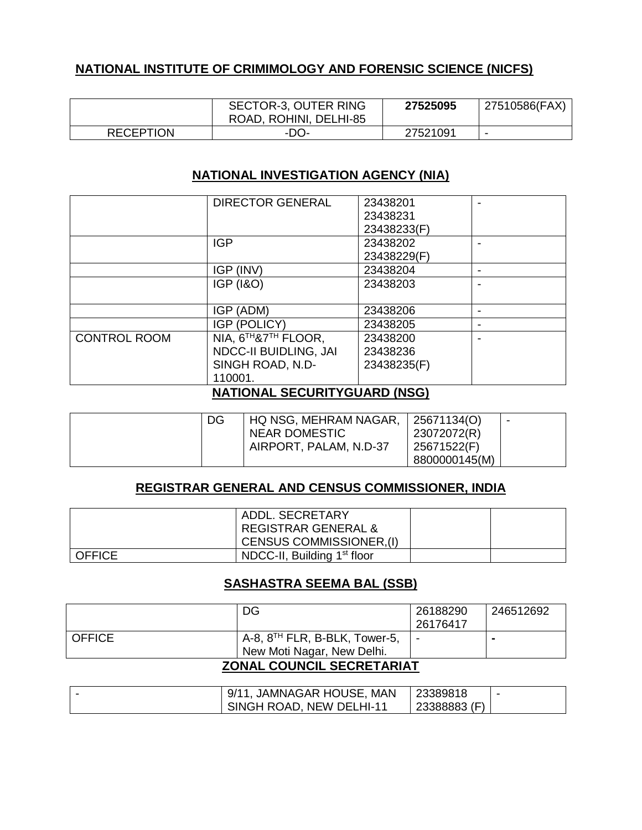# **NATIONAL INSTITUTE OF CRIMIMOLOGY AND FORENSIC SCIENCE (NICFS)**

|                  | SECTOR-3, OUTER RING<br>ROAD, ROHINI, DELHI-85 | 27525095 | 27510586(FAX) |
|------------------|------------------------------------------------|----------|---------------|
| <b>RECEPTION</b> | -DO-                                           | 27521091 |               |

#### **NATIONAL INVESTIGATION AGENCY (NIA)**

|                     | <b>DIRECTOR GENERAL</b>      | 23438201<br>23438231<br>23438233(F) |  |
|---------------------|------------------------------|-------------------------------------|--|
|                     | <b>IGP</b>                   | 23438202<br>23438229(F)             |  |
|                     | IGP (INV)                    | 23438204                            |  |
|                     | <b>IGP (1&amp;O)</b>         | 23438203                            |  |
|                     | IGP (ADM)                    | 23438206                            |  |
|                     | IGP (POLICY)                 | 23438205                            |  |
| <b>CONTROL ROOM</b> | NIA, 6TH&7TH FLOOR,          | 23438200                            |  |
|                     | <b>NDCC-II BUIDLING, JAI</b> | 23438236                            |  |
|                     | SINGH ROAD, N.D-             | 23438235(F)                         |  |
|                     | 110001.                      |                                     |  |

#### **NATIONAL SECURITYGUARD (NSG)**

| DG | HQ NSG, MEHRAM NAGAR,  | 25671134(O)   | $\overline{\phantom{0}}$ |
|----|------------------------|---------------|--------------------------|
|    | NEAR DOMESTIC          | 23072072(R)   |                          |
|    | AIRPORT, PALAM, N.D-37 | 25671522(F)   |                          |
|    |                        | 8800000145(M) |                          |

#### **REGISTRAR GENERAL AND CENSUS COMMISSIONER, INDIA**

|               | ADDL, SECRETARY                         |  |
|---------------|-----------------------------------------|--|
|               | <b>REGISTRAR GENERAL &amp;</b>          |  |
|               | CENSUS COMMISSIONER, (I)                |  |
| <b>OFFICE</b> | NDCC-II, Building 1 <sup>st</sup> floor |  |

#### **SASHASTRA SEEMA BAL (SSB)**

|                                  | DG                                                                      | 26188290<br>26176417     | 246512692 |  |
|----------------------------------|-------------------------------------------------------------------------|--------------------------|-----------|--|
| <b>OFFICE</b>                    | A-8, 8 <sup>TH</sup> FLR, B-BLK, Tower-5,<br>New Moti Nagar, New Delhi. | $\overline{\phantom{0}}$ |           |  |
| <b>ZONAL COUNCIL SECRETARIAT</b> |                                                                         |                          |           |  |

| 1, JAMNAGAR HOUSE, MAN<br>9/11 | 23389818     |  |
|--------------------------------|--------------|--|
| SINGH ROAD, NEW DELHI-11       | 23388883 (F) |  |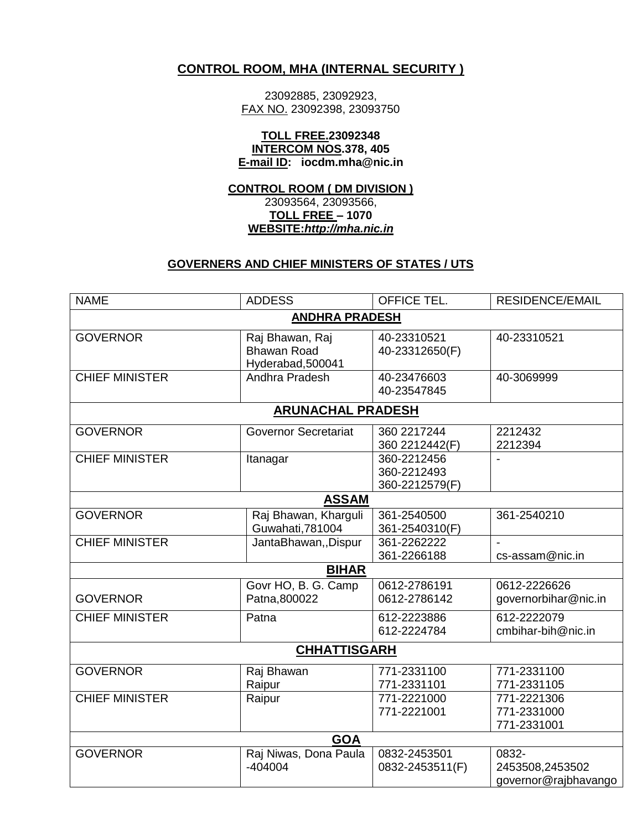#### **CONTROL ROOM, MHA (INTERNAL SECURITY )**

23092885, 23092923, FAX NO. 23092398, 23093750

#### **TOLL FREE.23092348 INTERCOM NOS.378, 405 E-mail ID: iocdm.mha@nic.in**

#### **CONTROL ROOM ( DM DIVISION )** 23093564, 23093566, **TOLL FREE – 1070 WEBSITE:***[http://mha.nic.in](http://mha.nic.in/)*

#### **GOVERNERS AND CHIEF MINISTERS OF STATES / UTS**

| <b>NAME</b>           | <b>ADDESS</b>                                              | <b>OFFICE TEL.</b>                           | <b>RESIDENCE/EMAIL</b>                           |  |
|-----------------------|------------------------------------------------------------|----------------------------------------------|--------------------------------------------------|--|
| <b>ANDHRA PRADESH</b> |                                                            |                                              |                                                  |  |
| <b>GOVERNOR</b>       | Raj Bhawan, Raj<br><b>Bhawan Road</b><br>Hyderabad, 500041 | 40-23310521<br>40-23312650(F)                | 40-23310521                                      |  |
| <b>CHIEF MINISTER</b> | Andhra Pradesh                                             | 40-23476603<br>40-23547845                   | 40-3069999                                       |  |
|                       | <b>ARUNACHAL PRADESH</b>                                   |                                              |                                                  |  |
| <b>GOVERNOR</b>       | <b>Governor Secretariat</b>                                | 360 2217244<br>360 2212442(F)                | 2212432<br>2212394                               |  |
| <b>CHIEF MINISTER</b> | Itanagar                                                   | 360-2212456<br>360-2212493<br>360-2212579(F) |                                                  |  |
|                       | <b>ASSAM</b>                                               |                                              |                                                  |  |
| <b>GOVERNOR</b>       | Raj Bhawan, Kharguli<br>Guwahati, 781004                   | 361-2540500<br>361-2540310(F)                | 361-2540210                                      |  |
| <b>CHIEF MINISTER</b> | JantaBhawan,, Dispur                                       | 361-2262222<br>361-2266188                   | cs-assam@nic.in                                  |  |
|                       | <b>BIHAR</b>                                               |                                              |                                                  |  |
| <b>GOVERNOR</b>       | Govr HO, B. G. Camp<br>Patna, 800022                       | 0612-2786191<br>0612-2786142                 | 0612-2226626<br>governorbihar@nic.in             |  |
| <b>CHIEF MINISTER</b> | Patna                                                      | 612-2223886<br>612-2224784                   | 612-2222079<br>cmbihar-bih@nic.in                |  |
|                       | <b>CHHATTISGARH</b>                                        |                                              |                                                  |  |
| <b>GOVERNOR</b>       | Raj Bhawan<br>Raipur                                       | 771-2331100<br>771-2331101                   | 771-2331100<br>771-2331105                       |  |
| <b>CHIEF MINISTER</b> | Raipur                                                     | 771-2221000<br>771-2221001                   | 771-2221306<br>771-2331000<br>771-2331001        |  |
|                       | <b>GOA</b>                                                 |                                              |                                                  |  |
| <b>GOVERNOR</b>       | Raj Niwas, Dona Paula<br>$-404004$                         | 0832-2453501<br>0832-2453511(F)              | 0832-<br>2453508,2453502<br>governor@rajbhavango |  |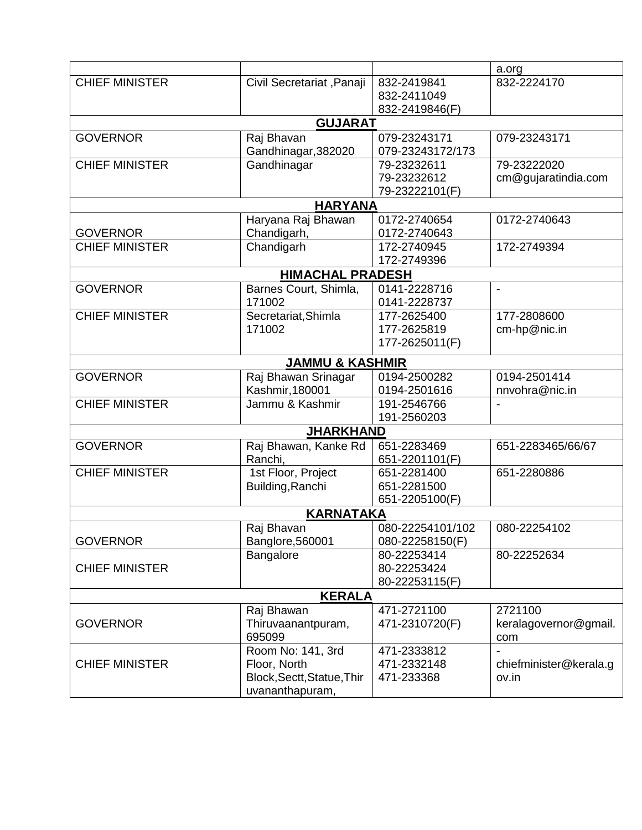|                       |                            |                  | a.org                  |  |  |
|-----------------------|----------------------------|------------------|------------------------|--|--|
| <b>CHIEF MINISTER</b> | Civil Secretariat, Panaji  | 832-2419841      | 832-2224170            |  |  |
|                       |                            | 832-2411049      |                        |  |  |
|                       |                            | 832-2419846(F)   |                        |  |  |
|                       | <b>GUJARAT</b>             |                  |                        |  |  |
| <b>GOVERNOR</b>       | Raj Bhavan                 | 079-23243171     | 079-23243171           |  |  |
|                       | Gandhinagar, 382020        | 079-23243172/173 |                        |  |  |
| <b>CHIEF MINISTER</b> | Gandhinagar                | 79-23232611      | 79-23222020            |  |  |
|                       |                            | 79-23232612      | cm@gujaratindia.com    |  |  |
|                       |                            | 79-23222101(F)   |                        |  |  |
|                       | <b>HARYANA</b>             |                  |                        |  |  |
|                       | Haryana Raj Bhawan         | 0172-2740654     | 0172-2740643           |  |  |
| <b>GOVERNOR</b>       | Chandigarh,                | 0172-2740643     |                        |  |  |
| <b>CHIEF MINISTER</b> | Chandigarh                 | 172-2740945      | 172-2749394            |  |  |
|                       |                            | 172-2749396      |                        |  |  |
|                       | <b>HIMACHAL PRADESH</b>    |                  |                        |  |  |
| <b>GOVERNOR</b>       | Barnes Court, Shimla,      | 0141-2228716     | $\blacksquare$         |  |  |
|                       | 171002                     | 0141-2228737     |                        |  |  |
| <b>CHIEF MINISTER</b> | Secretariat, Shimla        | 177-2625400      | 177-2808600            |  |  |
|                       | 171002                     | 177-2625819      | cm-hp@nic.in           |  |  |
|                       |                            | 177-2625011(F)   |                        |  |  |
|                       | <b>JAMMU &amp; KASHMIR</b> |                  |                        |  |  |
| <b>GOVERNOR</b>       | Raj Bhawan Srinagar        | 0194-2500282     | 0194-2501414           |  |  |
|                       | Kashmir, 180001            | 0194-2501616     | nnvohra@nic.in         |  |  |
| <b>CHIEF MINISTER</b> | Jammu & Kashmir            | 191-2546766      |                        |  |  |
|                       |                            | 191-2560203      |                        |  |  |
|                       | <b>JHARKHAND</b>           |                  |                        |  |  |
| <b>GOVERNOR</b>       | Raj Bhawan, Kanke Rd       | 651-2283469      | 651-2283465/66/67      |  |  |
|                       | Ranchi,                    | 651-2201101(F)   |                        |  |  |
| <b>CHIEF MINISTER</b> | 1st Floor, Project         | 651-2281400      | 651-2280886            |  |  |
|                       | Building, Ranchi           | 651-2281500      |                        |  |  |
|                       |                            | 651-2205100(F)   |                        |  |  |
|                       | <b>KARNATAKA</b>           |                  |                        |  |  |
|                       | Rai Bhavan                 | 080-22254101/102 | 080-22254102           |  |  |
| <b>GOVERNOR</b>       | Banglore, 560001           | 080-22258150(F)  |                        |  |  |
|                       | Bangalore                  | 80-22253414      | 80-22252634            |  |  |
| <b>CHIEF MINISTER</b> |                            | 80-22253424      |                        |  |  |
|                       |                            | 80-22253115(F)   |                        |  |  |
| <b>KERALA</b>         |                            |                  |                        |  |  |
|                       | Raj Bhawan                 | 471-2721100      | 2721100                |  |  |
| <b>GOVERNOR</b>       | Thiruvaanantpuram,         | 471-2310720(F)   | keralagovernor@gmail.  |  |  |
|                       | 695099                     |                  | com                    |  |  |
|                       | Room No: 141, 3rd          | 471-2333812      |                        |  |  |
| <b>CHIEF MINISTER</b> | Floor, North               | 471-2332148      | chiefminister@kerala.g |  |  |
|                       | Block, Sectt, Statue, Thir | 471-233368       | ov.in                  |  |  |
|                       | uvananthapuram,            |                  |                        |  |  |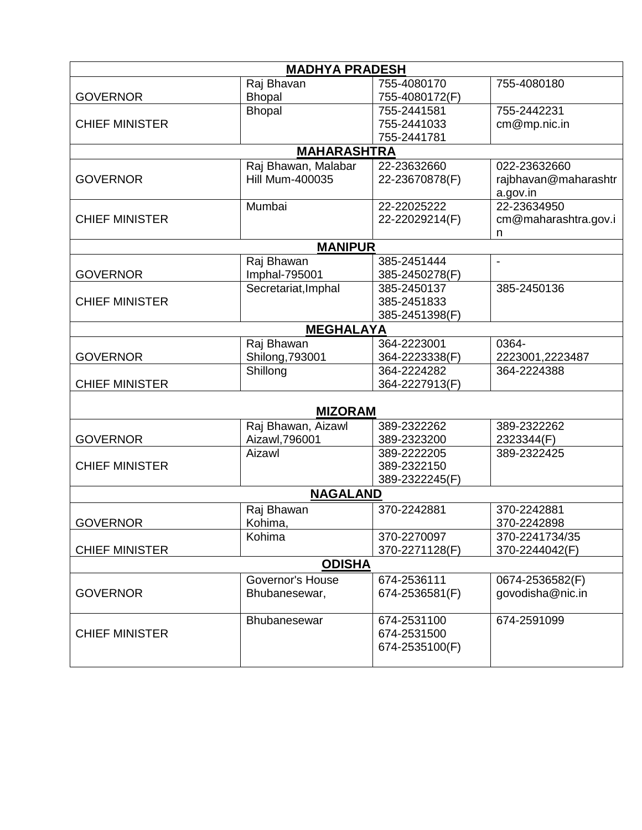| <b>MADHYA PRADESH</b> |                         |                            |                          |  |  |
|-----------------------|-------------------------|----------------------------|--------------------------|--|--|
|                       | Raj Bhavan              | 755-4080170                | 755-4080180              |  |  |
| <b>GOVERNOR</b>       | <b>Bhopal</b>           | 755-4080172(F)             |                          |  |  |
|                       | <b>Bhopal</b>           | 755-2441581                | 755-2442231              |  |  |
| <b>CHIEF MINISTER</b> |                         | 755-2441033                | cm@mp.nic.in             |  |  |
|                       |                         | 755-2441781                |                          |  |  |
|                       | <b>MAHARASHTRA</b>      |                            |                          |  |  |
|                       | Raj Bhawan, Malabar     | 22-23632660                | 022-23632660             |  |  |
| <b>GOVERNOR</b>       | <b>Hill Mum-400035</b>  | 22-23670878(F)             | rajbhavan@maharashtr     |  |  |
|                       |                         |                            | a.gov.in                 |  |  |
|                       | Mumbai                  | 22-22025222                | 22-23634950              |  |  |
| <b>CHIEF MINISTER</b> |                         | 22-22029214(F)             | cm@maharashtra.gov.i     |  |  |
|                       | <b>MANIPUR</b>          |                            | n                        |  |  |
|                       | Raj Bhawan              | 385-2451444                | $\overline{\phantom{a}}$ |  |  |
| <b>GOVERNOR</b>       | Imphal-795001           | 385-2450278(F)             |                          |  |  |
|                       | Secretariat, Imphal     | 385-2450137                | 385-2450136              |  |  |
| <b>CHIEF MINISTER</b> |                         | 385-2451833                |                          |  |  |
|                       |                         | 385-2451398(F)             |                          |  |  |
|                       | <b>MEGHALAYA</b>        |                            |                          |  |  |
|                       | Raj Bhawan              | 364-2223001                | 0364-                    |  |  |
| <b>GOVERNOR</b>       | Shilong, 793001         | 364-2223338(F)             | 2223001,2223487          |  |  |
|                       | Shillong                | 364-2224282                | 364-2224388              |  |  |
| <b>CHIEF MINISTER</b> |                         | 364-2227913(F)             |                          |  |  |
| <b>MIZORAM</b>        |                         |                            |                          |  |  |
|                       | Raj Bhawan, Aizawl      | 389-2322262                | 389-2322262              |  |  |
| <b>GOVERNOR</b>       | Aizawl, 796001          | 389-2323200                | 2323344(F)               |  |  |
|                       | Aizawl                  | 389-2222205                | 389-2322425              |  |  |
| <b>CHIEF MINISTER</b> |                         | 389-2322150                |                          |  |  |
|                       |                         | 389-2322245(F)             |                          |  |  |
| <b>NAGALAND</b>       |                         |                            |                          |  |  |
|                       | Raj Bhawan              | 370-2242881                | 370-2242881              |  |  |
| <b>GOVERNOR</b>       | Kohima,                 |                            | 370-2242898              |  |  |
|                       | Kohima                  | 370-2270097                | 370-2241734/35           |  |  |
| <b>CHIEF MINISTER</b> |                         | 370-2271128(F)             | 370-2244042(F)           |  |  |
| <b>ODISHA</b>         |                         |                            |                          |  |  |
|                       | <b>Governor's House</b> | 674-2536111                | 0674-2536582(F)          |  |  |
| <b>GOVERNOR</b>       | Bhubanesewar,           | 674-2536581(F)             | govodisha@nic.in         |  |  |
|                       |                         |                            |                          |  |  |
| <b>CHIEF MINISTER</b> | Bhubanesewar            | 674-2531100<br>674-2531500 | 674-2591099              |  |  |
|                       |                         | 674-2535100(F)             |                          |  |  |
|                       |                         |                            |                          |  |  |
|                       |                         |                            |                          |  |  |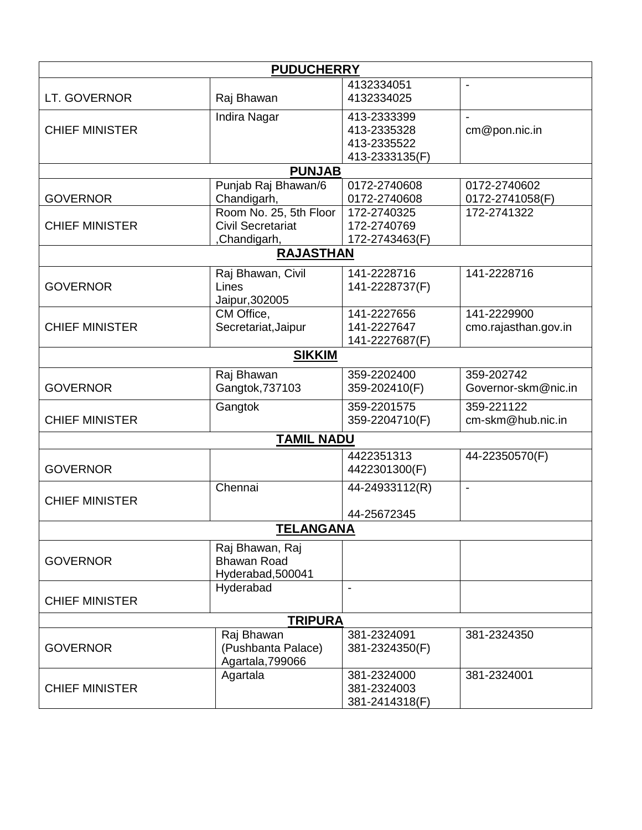| <b>PUDUCHERRY</b>     |                                                    |                            |                          |  |  |
|-----------------------|----------------------------------------------------|----------------------------|--------------------------|--|--|
|                       |                                                    | 4132334051                 |                          |  |  |
| LT. GOVERNOR          | Raj Bhawan                                         | 4132334025                 |                          |  |  |
|                       | Indira Nagar                                       | 413-2333399                |                          |  |  |
| <b>CHIEF MINISTER</b> |                                                    | 413-2335328                | cm@pon.nic.in            |  |  |
|                       |                                                    | 413-2335522                |                          |  |  |
|                       |                                                    | 413-2333135(F)             |                          |  |  |
|                       | <b>PUNJAB</b>                                      |                            |                          |  |  |
|                       | Punjab Raj Bhawan/6                                | 0172-2740608               | 0172-2740602             |  |  |
| <b>GOVERNOR</b>       | Chandigarh,                                        | 0172-2740608               | 0172-2741058(F)          |  |  |
| <b>CHIEF MINISTER</b> | Room No. 25, 5th Floor<br><b>Civil Secretariat</b> | 172-2740325<br>172-2740769 | 172-2741322              |  |  |
|                       | ,Chandigarh,                                       | 172-2743463(F)             |                          |  |  |
|                       | <b>RAJASTHAN</b>                                   |                            |                          |  |  |
|                       |                                                    |                            |                          |  |  |
|                       | Raj Bhawan, Civil                                  | 141-2228716                | 141-2228716              |  |  |
| <b>GOVERNOR</b>       | Lines                                              | 141-2228737(F)             |                          |  |  |
|                       | Jaipur, 302005<br>CM Office,                       | 141-2227656                | 141-2229900              |  |  |
| <b>CHIEF MINISTER</b> | Secretariat, Jaipur                                | 141-2227647                | cmo.rajasthan.gov.in     |  |  |
|                       |                                                    | 141-2227687(F)             |                          |  |  |
|                       | <b>SIKKIM</b>                                      |                            |                          |  |  |
|                       |                                                    |                            |                          |  |  |
|                       | Raj Bhawan                                         | 359-2202400                | 359-202742               |  |  |
| <b>GOVERNOR</b>       | Gangtok, 737103                                    | 359-202410(F)              | Governor-skm@nic.in      |  |  |
|                       | Gangtok                                            | 359-2201575                | 359-221122               |  |  |
| <b>CHIEF MINISTER</b> |                                                    | 359-2204710(F)             | cm-skm@hub.nic.in        |  |  |
|                       | <b>TAMIL NADU</b>                                  |                            |                          |  |  |
|                       |                                                    | 4422351313                 | 44-22350570(F)           |  |  |
| <b>GOVERNOR</b>       |                                                    | 4422301300(F)              |                          |  |  |
|                       | Chennai                                            | 44-24933112(R)             | $\overline{\phantom{a}}$ |  |  |
| <b>CHIEF MINISTER</b> |                                                    |                            |                          |  |  |
|                       |                                                    | 44-25672345                |                          |  |  |
| <b>TELANGANA</b>      |                                                    |                            |                          |  |  |
|                       | Raj Bhawan, Raj                                    |                            |                          |  |  |
| <b>GOVERNOR</b>       | <b>Bhawan Road</b>                                 |                            |                          |  |  |
|                       | Hyderabad, 500041                                  |                            |                          |  |  |
|                       | Hyderabad                                          |                            |                          |  |  |
| <b>CHIEF MINISTER</b> |                                                    |                            |                          |  |  |
| <b>TRIPURA</b>        |                                                    |                            |                          |  |  |
|                       | Raj Bhawan                                         | 381-2324091                | 381-2324350              |  |  |
| <b>GOVERNOR</b>       | (Pushbanta Palace)                                 | 381-2324350(F)             |                          |  |  |
|                       | Agartala, 799066                                   |                            |                          |  |  |
|                       | Agartala                                           | 381-2324000                | 381-2324001              |  |  |
| <b>CHIEF MINISTER</b> |                                                    | 381-2324003                |                          |  |  |
|                       |                                                    | 381-2414318(F)             |                          |  |  |